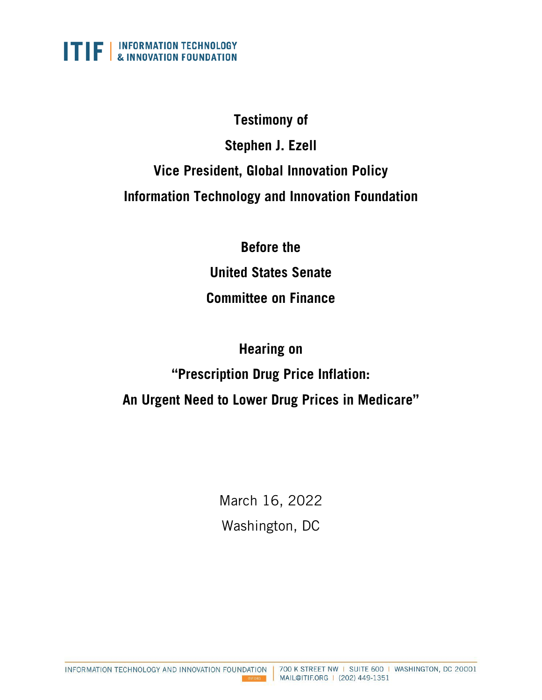

### **Testimony of**

# **Stephen J. Ezell Vice President, Global Innovation Policy Information Technology and Innovation Foundation**

**Before the United States Senate Committee on Finance**

# **Hearing on "Prescription Drug Price Inflation: An Urgent Need to Lower Drug Prices in Medicare"**

March 16, 2022 Washington, DC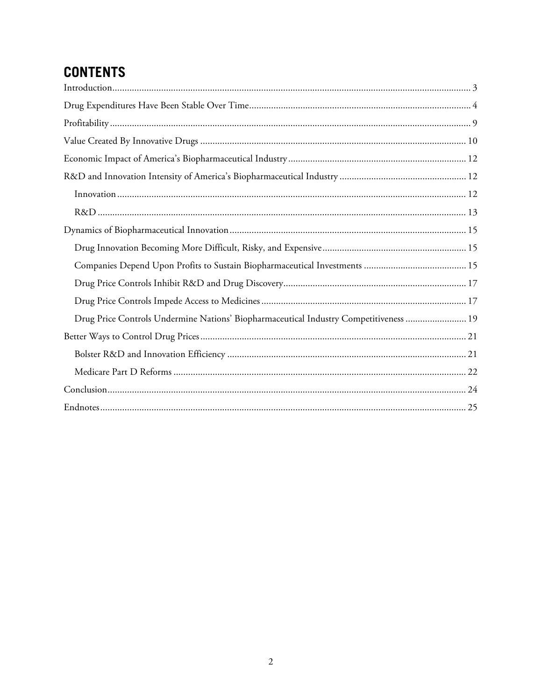## **CONTENTS**

| Drug Price Controls Undermine Nations' Biopharmaceutical Industry Competitiveness  19 |
|---------------------------------------------------------------------------------------|
|                                                                                       |
|                                                                                       |
|                                                                                       |
|                                                                                       |
|                                                                                       |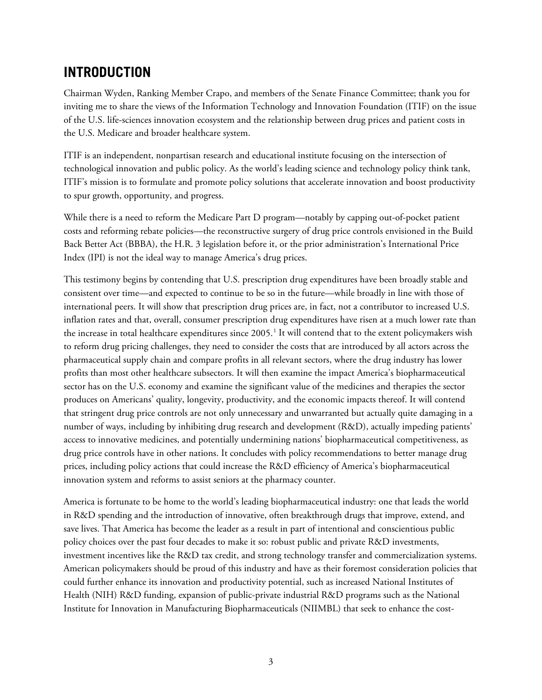### <span id="page-2-0"></span>**INTRODUCTION**

Chairman Wyden, Ranking Member Crapo, and members of the Senate Finance Committee; thank you for inviting me to share the views of the Information Technology and Innovation Foundation (ITIF) on the issue of the U.S. life-sciences innovation ecosystem and the relationship between drug prices and patient costs in the U.S. Medicare and broader healthcare system.

ITIF is an independent, nonpartisan research and educational institute focusing on the intersection of technological innovation and public policy. As the world's leading science and technology policy think tank, ITIF's mission is to formulate and promote policy solutions that accelerate innovation and boost productivity to spur growth, opportunity, and progress.

While there is a need to reform the Medicare Part D program—notably by capping out-of-pocket patient costs and reforming rebate policies—the reconstructive surgery of drug price controls envisioned in the Build Back Better Act (BBBA), the H.R. 3 legislation before it, or the prior administration's International Price Index (IPI) is not the ideal way to manage America's drug prices.

This testimony begins by contending that U.S. prescription drug expenditures have been broadly stable and consistent over time—and expected to continue to be so in the future—while broadly in line with those of international peers. It will show that prescription drug prices are, in fact, not a contributor to increased U.S. inflation rates and that, overall, consumer prescription drug expenditures have risen at a much lower rate than the increase in total healthcare expenditures since 2005.<sup>[1](#page-24-1)</sup> It will contend that to the extent policymakers wish to reform drug pricing challenges, they need to consider the costs that are introduced by all actors across the pharmaceutical supply chain and compare profits in all relevant sectors, where the drug industry has lower profits than most other healthcare subsectors. It will then examine the impact America's biopharmaceutical sector has on the U.S. economy and examine the significant value of the medicines and therapies the sector produces on Americans' quality, longevity, productivity, and the economic impacts thereof. It will contend that stringent drug price controls are not only unnecessary and unwarranted but actually quite damaging in a number of ways, including by inhibiting drug research and development (R&D), actually impeding patients' access to innovative medicines, and potentially undermining nations' biopharmaceutical competitiveness, as drug price controls have in other nations. It concludes with policy recommendations to better manage drug prices, including policy actions that could increase the R&D efficiency of America's biopharmaceutical innovation system and reforms to assist seniors at the pharmacy counter.

America is fortunate to be home to the world's leading biopharmaceutical industry: one that leads the world in R&D spending and the introduction of innovative, often breakthrough drugs that improve, extend, and save lives. That America has become the leader as a result in part of intentional and conscientious public policy choices over the past four decades to make it so: robust public and private R&D investments, investment incentives like the R&D tax credit, and strong technology transfer and commercialization systems. American policymakers should be proud of this industry and have as their foremost consideration policies that could further enhance its innovation and productivity potential, such as increased National Institutes of Health (NIH) R&D funding, expansion of public-private industrial R&D programs such as the National Institute for Innovation in Manufacturing Biopharmaceuticals (NIIMBL) that seek to enhance the cost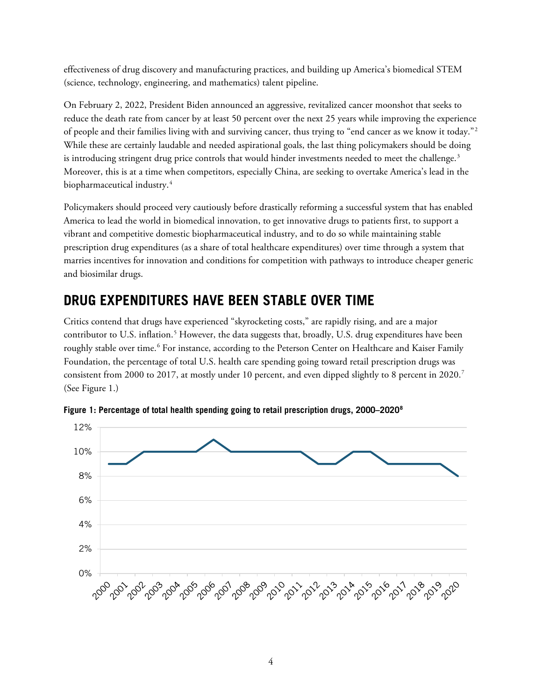effectiveness of drug discovery and manufacturing practices, and building up America's biomedical STEM (science, technology, engineering, and mathematics) talent pipeline.

On February 2, 2022, President Biden announced an aggressive, revitalized cancer moonshot that seeks to reduce the death rate from cancer by at least 50 percent over the next 25 years while improving the experience of people and their families living with and surviving cancer, thus trying to "end cancer as we know it today."[2](#page-24-2) While these are certainly laudable and needed aspirational goals, the last thing policymakers should be doing is introducing stringent drug price controls that would hinder investments needed to meet the challenge. $3$ Moreover, this is at a time when competitors, especially China, are seeking to overtake America's lead in the biopharmaceutical industry. [4](#page-24-4)

Policymakers should proceed very cautiously before drastically reforming a successful system that has enabled America to lead the world in biomedical innovation, to get innovative drugs to patients first, to support a vibrant and competitive domestic biopharmaceutical industry, and to do so while maintaining stable prescription drug expenditures (as a share of total healthcare expenditures) over time through a system that marries incentives for innovation and conditions for competition with pathways to introduce cheaper generic and biosimilar drugs.

### <span id="page-3-0"></span>**DRUG EXPENDITURES HAVE BEEN STABLE OVER TIME**

Critics contend that drugs have experienced "skyrocketing costs," are rapidly rising, and are a major contributor to U.S. inflation.<sup>[5](#page-24-5)</sup> However, the data suggests that, broadly, U.S. drug expenditures have been roughly stable over time.<sup>[6](#page-24-6)</sup> For instance, according to the Peterson Center on Healthcare and Kaiser Family Foundation, the percentage of total U.S. health care spending going toward retail prescription drugs was consistent from 2000 to 2017, at mostly under 10 percent, and even dipped slightly to 8 percent in 2020.<sup>7</sup> (See [Figure 1.](#page-3-1))



<span id="page-3-1"></span>**Figure 1: Percentage of total health spending going to retail prescription drugs, 2000–2020[8](#page-24-8)**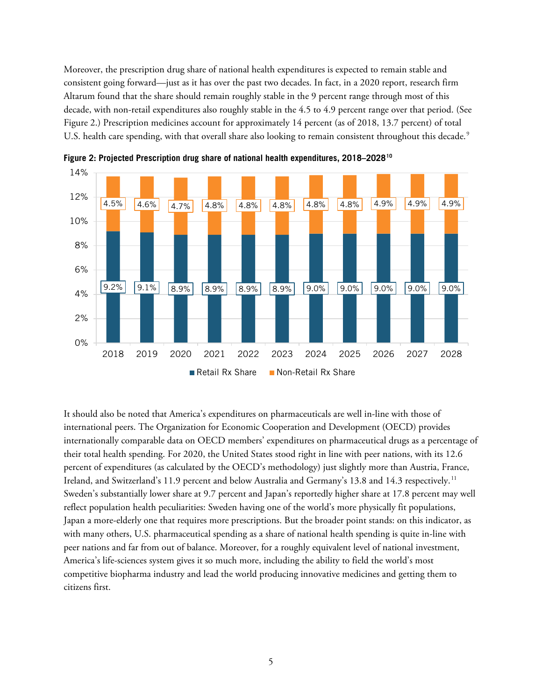Moreover, the prescription drug share of national health expenditures is expected to remain stable and consistent going forward—just as it has over the past two decades. In fact, in a 2020 report, research firm Altarum found that the share should remain roughly stable in the 9 percent range through most of this decade, with non-retail expenditures also roughly stable in the 4.5 to 4.9 percent range over that period. (See [Figure 2.](#page-4-0)) Prescription medicines account for approximately 14 percent (as of 2018, 13.7 percent) of total U.S. health care spending, with that overall share also looking to remain consistent throughout this decade.<sup>[9](#page-24-9)</sup>



<span id="page-4-0"></span>**Figure 2: Projected Prescription drug share of national health expenditures, 2018–202[810](#page-24-10)**

It should also be noted that America's expenditures on pharmaceuticals are well in-line with those of international peers. The Organization for Economic Cooperation and Development (OECD) provides internationally comparable data on OECD members' expenditures on pharmaceutical drugs as a percentage of their total health spending. For 2020, the United States stood right in line with peer nations, with its 12.6 percent of expenditures (as calculated by the OECD's methodology) just slightly more than Austria, France, Ireland, and Switzerland's [11](#page-24-11).9 percent and below Australia and Germany's 13.8 and 14.3 respectively.<sup>11</sup> Sweden's substantially lower share at 9.7 percent and Japan's reportedly higher share at 17.8 percent may well reflect population health peculiarities: Sweden having one of the world's more physically fit populations, Japan a more-elderly one that requires more prescriptions. But the broader point stands: on this indicator, as with many others, U.S. pharmaceutical spending as a share of national health spending is quite in-line with peer nations and far from out of balance. Moreover, for a roughly equivalent level of national investment, America's life-sciences system gives it so much more, including the ability to field the world's most competitive biopharma industry and lead the world producing innovative medicines and getting them to citizens first.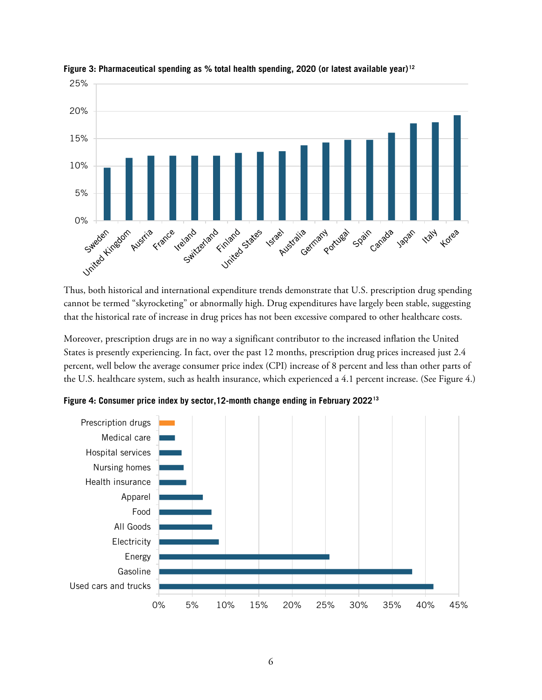

**Figure 3: Pharmaceutical spending as % total health spending, 2020 (or latest available year)[12](#page-24-12)**

Thus, both historical and international expenditure trends demonstrate that U.S. prescription drug spending cannot be termed "skyrocketing" or abnormally high. Drug expenditures have largely been stable, suggesting that the historical rate of increase in drug prices has not been excessive compared to other healthcare costs.

Moreover, prescription drugs are in no way a significant contributor to the increased inflation the United States is presently experiencing. In fact, over the past 12 months, prescription drug prices increased just 2.4 percent, well below the average consumer price index (CPI) increase of 8 percent and less than other parts of the U.S. healthcare system, such as health insurance, which experienced a 4.1 percent increase. (See [Figure 4.](#page-5-0))



<span id="page-5-0"></span>**Figure 4: Consumer price index by sector,12-month change ending in February 2022[13](#page-24-13)**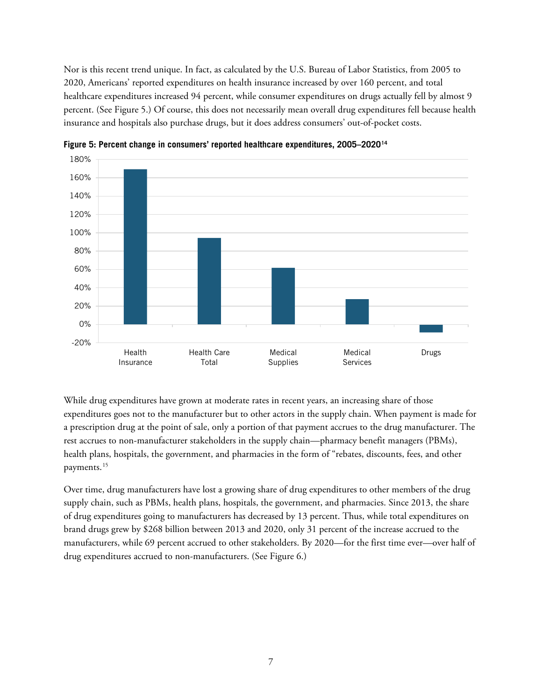Nor is this recent trend unique. In fact, as calculated by the U.S. Bureau of Labor Statistics, from 2005 to 2020, Americans' reported expenditures on health insurance increased by over 160 percent, and total healthcare expenditures increased 94 percent, while consumer expenditures on drugs actually fell by almost 9 percent. (See [Figure 5.](#page-6-0)) Of course, this does not necessarily mean overall drug expenditures fell because health insurance and hospitals also purchase drugs, but it does address consumers' out-of-pocket costs.



<span id="page-6-0"></span>**Figure 5: Percent change in consumers' reported healthcare expenditures, 2005–2020[14](#page-24-14)**

While drug expenditures have grown at moderate rates in recent years, an increasing share of those expenditures goes not to the manufacturer but to other actors in the supply chain. When payment is made for a prescription drug at the point of sale, only a portion of that payment accrues to the drug manufacturer. The rest accrues to non-manufacturer stakeholders in the supply chain—pharmacy benefit managers (PBMs), health plans, hospitals, the government, and pharmacies in the form of "rebates, discounts, fees, and other payments.<sup>[15](#page-24-15)</sup>

Over time, drug manufacturers have lost a growing share of drug expenditures to other members of the drug supply chain, such as PBMs, health plans, hospitals, the government, and pharmacies. Since 2013, the share of drug expenditures going to manufacturers has decreased by 13 percent. Thus, while total expenditures on brand drugs grew by \$268 billion between 2013 and 2020, only 31 percent of the increase accrued to the manufacturers, while 69 percent accrued to other stakeholders. By 2020—for the first time ever—over half of drug expenditures accrued to non-manufacturers. (See [Figure 6.](#page-7-0))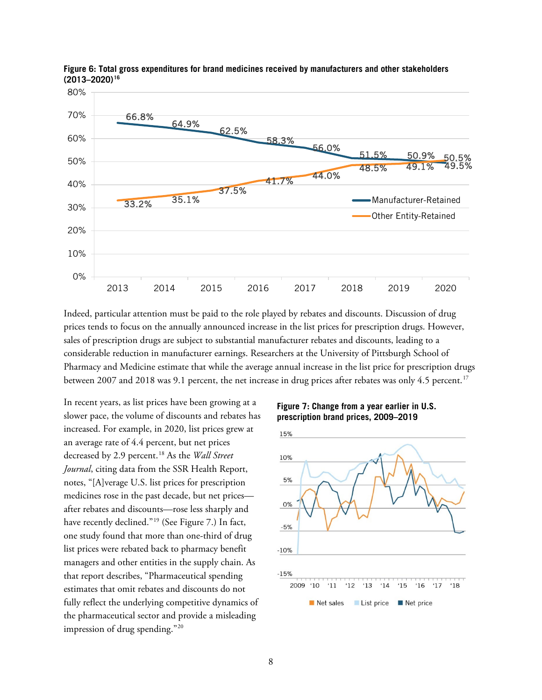

<span id="page-7-0"></span>**Figure 6: Total gross expenditures for brand medicines received by manufacturers and other stakeholders (2013–2020)[16](#page-24-16)**

Indeed, particular attention must be paid to the role played by rebates and discounts. Discussion of drug prices tends to focus on the annually announced increase in the list prices for prescription drugs. However, sales of prescription drugs are subject to substantial manufacturer rebates and discounts, leading to a considerable reduction in manufacturer earnings. Researchers at the University of Pittsburgh School of Pharmacy and Medicine estimate that while the average annual increase in the list price for prescription drugs between 2007 and 2018 was 9.1 percent, the net increase in drug prices after rebates was only 4.5 percent.<sup>[17](#page-24-17)</sup>

In recent years, as list prices have been growing at a slower pace, the volume of discounts and rebates has increased. For example, in 2020, list prices grew at an average rate of 4.4 percent, but net prices decreased by 2.9 percent. [18](#page-25-0) As the *Wall Street Journal*, citing data from the SSR Health Report, notes, "[A]verage U.S. list prices for prescription medicines rose in the past decade, but net prices after rebates and discounts—rose less sharply and have recently declined."<sup>[19](#page-25-1)</sup> (See Figure 7.) In fact, one study found that more than one-third of drug list prices were rebated back to pharmacy benefit managers and other entities in the supply chain. As that report describes, "Pharmaceutical spending estimates that omit rebates and discounts do not fully reflect the underlying competitive dynamics of the pharmaceutical sector and provide a misleading impression of drug spending."[20](#page-25-2)

**Figure 7: Change from a year earlier in U.S. prescription brand prices, 2009–2019**

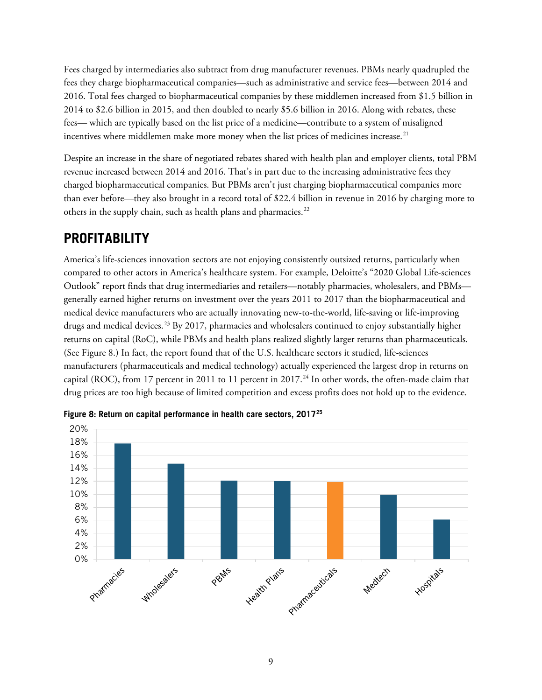Fees charged by intermediaries also subtract from drug manufacturer revenues. PBMs nearly quadrupled the fees they charge biopharmaceutical companies—such as administrative and service fees—between 2014 and 2016. Total fees charged to biopharmaceutical companies by these middlemen increased from \$1.5 billion in 2014 to \$2.6 billion in 2015, and then doubled to nearly \$5.6 billion in 2016. Along with rebates, these fees— which are typically based on the list price of a medicine—contribute to a system of misaligned incentives where middlemen make more money when the list prices of medicines increase.<sup>[21](#page-25-3)</sup>

Despite an increase in the share of negotiated rebates shared with health plan and employer clients, total PBM revenue increased between 2014 and 2016. That's in part due to the increasing administrative fees they charged biopharmaceutical companies. But PBMs aren't just charging biopharmaceutical companies more than ever before—they also brought in a record total of \$22.4 billion in revenue in 2016 by charging more to others in the supply chain, such as health plans and pharmacies.<sup>[22](#page-25-4)</sup>

### <span id="page-8-0"></span>**PROFITABILITY**

America's life-sciences innovation sectors are not enjoying consistently outsized returns, particularly when compared to other actors in America's healthcare system. For example, Deloitte's "2020 Global Life-sciences Outlook" report finds that drug intermediaries and retailers—notably pharmacies, wholesalers, and PBMs generally earned higher returns on investment over the years 2011 to 2017 than the biopharmaceutical and medical device manufacturers who are actually innovating new-to-the-world, life-saving or life-improving drugs and medical devices.<sup>[23](#page-25-5)</sup> By 2017, pharmacies and wholesalers continued to enjoy substantially higher returns on capital (RoC), while PBMs and health plans realized slightly larger returns than pharmaceuticals. (See [Figure 8.](#page-8-1)) In fact, the report found that of the U.S. healthcare sectors it studied, life-sciences manufacturers (pharmaceuticals and medical technology) actually experienced the largest drop in returns on capital (ROC), from 17 percent in 2011 to 11 percent in 2017.<sup>[24](#page-25-6)</sup> In other words, the often-made claim that drug prices are too high because of limited competition and excess profits does not hold up to the evidence.



<span id="page-8-1"></span>**Figure 8: Return on capital performance in health care sectors, 2017[25](#page-25-7)**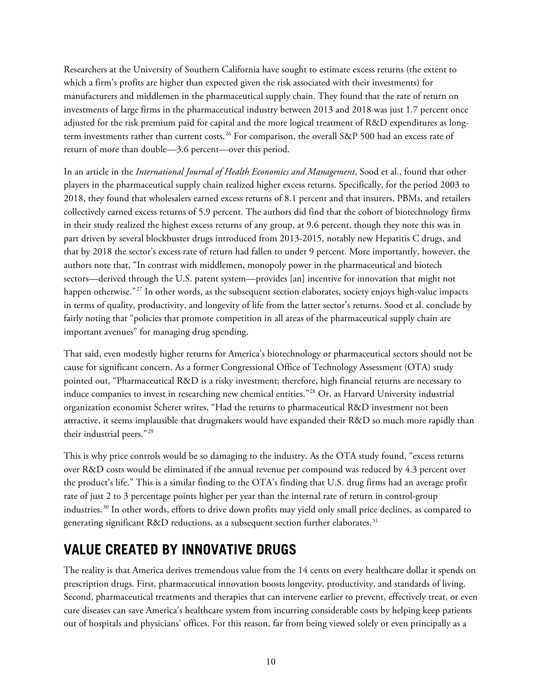Researchers at the University of Southern California have sought to estimate excess returns (the extent to which a firm's profits are higher than expected given the risk associated with their investments) for manufacturers and middlemen in the pharmaceutical supply chain. They found that the rate of return on investments of large firms in the pharmaceutical industry between 2013 and 2018 was just 1.7 percent once adjusted for the risk premium paid for capital and the more logical treatment of R&D expenditures as long-term investments rather than current costs.<sup>[26](#page-25-8)</sup> For comparison, the overall S&P 500 had an excess rate of return of more than double—3.6 percent—over this period.

In an article in the *International Journal of Health Economics and Management*, Sood et al., found that other players in the pharmaceutical supply chain realized higher excess returns. Specifically, for the period 2003 to 2018, they found that wholesalers earned excess returns of 8.1 percent and that insurers, PBMs, and retailers collectively earned excess returns of 5.9 percent. The authors did find that the cohort of biotechnology firms in their study realized the highest excess returns of any group, at 9.6 percent, though they note this was in part driven by several blockbuster drugs introduced from 2013-2015, notably new Hepatitis C drugs, and that by 2018 the sector's excess rate of return had fallen to under 9 percent. More importantly, however, the authors note that, "In contrast with middlemen, monopoly power in the pharmaceutical and biotech sectors—derived through the U.S. patent system—provides [an] incentive for innovation that might not happen otherwise."<sup>[27](#page-25-9)</sup> In other words, as the subsequent section elaborates, society enjoys high-value impacts in terms of quality, productivity, and longevity of life from the latter sector's returns. Sood et al. conclude by fairly noting that "policies that promote competition in all areas of the pharmaceutical supply chain are important avenues" for managing drug spending.

That said, even modestly higher returns for America's biotechnology or pharmaceutical sectors should not be cause for significant concern. As a former Congressional Office of Technology Assessment (OTA) study pointed out, "Pharmaceutical R&D is a risky investment; therefore, high financial returns are necessary to induce companies to invest in researching new chemical entities."[28](#page-25-10) Or, as Harvard University industrial organization economist Scherer writes, "Had the returns to pharmaceutical R&D investment not been attractive, it seems implausible that drugmakers would have expanded their R&D so much more rapidly than their industrial peers."[29](#page-25-11)

This is why price controls would be so damaging to the industry. As the OTA study found, "excess returns over R&D costs would be eliminated if the annual revenue per compound was reduced by 4.3 percent over the product's life." This is a similar finding to the OTA's finding that U.S. drug firms had an average profit rate of just 2 to 3 percentage points higher per year than the internal rate of return in control-group industries.<sup>[30](#page-25-12)</sup> In other words, efforts to drive down profits may yield only small price declines, as compared to generating significant R&D reductions, as a subsequent section further elaborates.<sup>[31](#page-25-13)</sup>

### <span id="page-9-0"></span>**VALUE CREATED BY INNOVATIVE DRUGS**

The reality is that America derives tremendous value from the 14 cents on every healthcare dollar it spends on prescription drugs. First, pharmaceutical innovation boosts longevity, productivity, and standards of living. Second, pharmaceutical treatments and therapies that can intervene earlier to prevent, effectively treat, or even cure diseases can save America's healthcare system from incurring considerable costs by helping keep patients out of hospitals and physicians' offices. For this reason, far from being viewed solely or even principally as a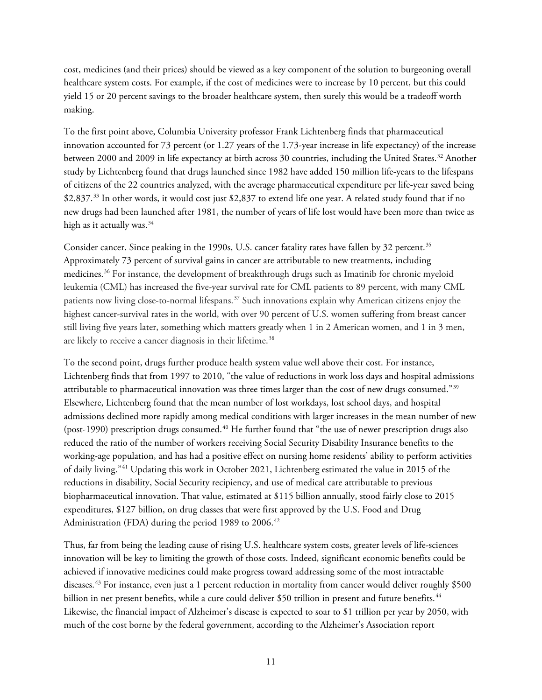cost, medicines (and their prices) should be viewed as a key component of the solution to burgeoning overall healthcare system costs. For example, if the cost of medicines were to increase by 10 percent, but this could yield 15 or 20 percent savings to the broader healthcare system, then surely this would be a tradeoff worth making.

To the first point above, Columbia University professor Frank Lichtenberg finds that pharmaceutical innovation accounted for 73 percent (or 1.27 years of the 1.73-year increase in life expectancy) of the increase between 2000 and 2009 in life expectancy at birth across 30 countries, including the United States.<sup>32</sup> Another study by Lichtenberg found that drugs launched since 1982 have added 150 million life-years to the lifespans of citizens of the 22 countries analyzed, with the average pharmaceutical expenditure per life-year saved being \$2,837.<sup>33</sup> In other words, it would cost just \$2,837 to extend life one year. A related study found that if no new drugs had been launched after 1981, the number of years of life lost would have been more than twice as high as it actually was. $34$ 

Consider cancer. Since peaking in the 1990s, U.S. cancer fatality rates have fallen by 32 percent.<sup>[35](#page-25-17)</sup> Approximately 73 percent of survival gains in cancer are attributable to new treatments, including medicines.[36](#page-25-18) For instance, the development of breakthrough drugs such as Imatinib for chronic myeloid leukemia (CML) has increased the five-year survival rate for CML patients to 89 percent, with many CML patients now living close-to-normal lifespans.<sup>[37](#page-25-19)</sup> Such innovations explain why American citizens enjoy the highest cancer-survival rates in the world, with over 90 percent of U.S. women suffering from breast cancer still living five years later, something which matters greatly when 1 in 2 American women, and 1 in 3 men, are likely to receive a cancer diagnosis in their lifetime.<sup>[38](#page-26-0)</sup>

To the second point, drugs further produce health system value well above their cost. For instance, Lichtenberg finds that from 1997 to 2010, "the value of reductions in work loss days and hospital admissions attributable to pharmaceutical innovation was three times larger than the cost of new drugs consumed."[39](#page-26-1) Elsewhere, Lichtenberg found that the mean number of lost workdays, lost school days, and hospital admissions declined more rapidly among medical conditions with larger increases in the mean number of new (post-1990) prescription drugs consumed.<sup>[40](#page-26-2)</sup> He further found that "the use of newer prescription drugs also reduced the ratio of the number of workers receiving Social Security Disability Insurance benefits to the working-age population, and has had a positive effect on nursing home residents' ability to perform activities of daily living."[41](#page-26-3) Updating this work in October 2021, Lichtenberg estimated the value in 2015 of the reductions in disability, Social Security recipiency, and use of medical care attributable to previous biopharmaceutical innovation. That value, estimated at \$115 billion annually, stood fairly close to 2015 expenditures, \$127 billion, on drug classes that were first approved by the U.S. Food and Drug Administration (FDA) during the period 1989 to 2006. [42](#page-26-4)

Thus, far from being the leading cause of rising U.S. healthcare system costs, greater levels of life-sciences innovation will be key to limiting the growth of those costs. Indeed, significant economic benefits could be achieved if innovative medicines could make progress toward addressing some of the most intractable diseases.[43](#page-26-5) For instance, even just a 1 percent reduction in mortality from cancer would deliver roughly \$500 billion in net present benefits, while a cure could deliver \$50 trillion in present and future benefits.<sup>[44](#page-26-6)</sup> Likewise, the financial impact of Alzheimer's disease is expected to soar to \$1 trillion per year by 2050, with much of the cost borne by the federal government, according to the Alzheimer's Association report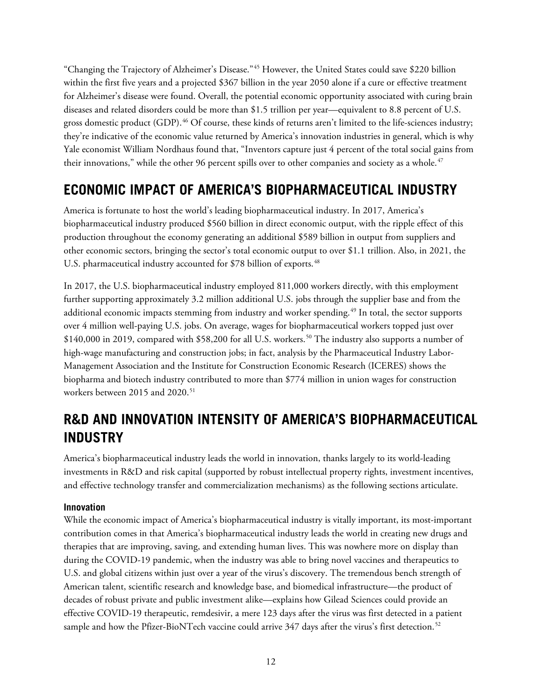"Changing the Trajectory of Alzheimer's Disease."[45](#page-26-7) However, the United States could save \$220 billion within the first five years and a projected \$367 billion in the year 2050 alone if a cure or effective treatment for Alzheimer's disease were found. Overall, the potential economic opportunity associated with curing brain diseases and related disorders could be more than \$1.5 trillion per year—equivalent to 8.8 percent of U.S. gross domestic product (GDP). [46](#page-26-8) Of course, these kinds of returns aren't limited to the life-sciences industry; they're indicative of the economic value returned by America's innovation industries in general, which is why Yale economist William Nordhaus found that, "Inventors capture just 4 percent of the total social gains from their innovations," while the other 96 percent spills over to other companies and society as a whole.<sup>[47](#page-26-9)</sup>

### <span id="page-11-0"></span>**ECONOMIC IMPACT OF AMERICA'S BIOPHARMACEUTICAL INDUSTRY**

America is fortunate to host the world's leading biopharmaceutical industry. In 2017, America's biopharmaceutical industry produced \$560 billion in direct economic output, with the ripple effect of this production throughout the economy generating an additional \$589 billion in output from suppliers and other economic sectors, bringing the sector's total economic output to over \$1.1 trillion. Also, in 2021, the U.S. pharmaceutical industry accounted for \$78 billion of exports.<sup>[48](#page-26-10)</sup>

In 2017, the U.S. biopharmaceutical industry employed 811,000 workers directly, with this employment further supporting approximately 3.2 million additional U.S. jobs through the supplier base and from the additional economic impacts stemming from industry and worker spending. [49](#page-26-11) In total, the sector supports over 4 million well-paying U.S. jobs. On average, wages for biopharmaceutical workers topped just over  $$140,000$  in 2019, compared with  $$58,200$  for all U.S. workers.<sup>[50](#page-26-12)</sup> The industry also supports a number of high-wage manufacturing and construction jobs; in fact, analysis by the Pharmaceutical Industry Labor-Management Association and the Institute for Construction Economic Research (ICERES) shows the biopharma and biotech industry contributed to more than \$774 million in union wages for construction workers between 2015 and 2020.<sup>[51](#page-26-13)</sup>

## <span id="page-11-1"></span>**R&D AND INNOVATION INTENSITY OF AMERICA'S BIOPHARMACEUTICAL INDUSTRY**

America's biopharmaceutical industry leads the world in innovation, thanks largely to its world-leading investments in R&D and risk capital (supported by robust intellectual property rights, investment incentives, and effective technology transfer and commercialization mechanisms) as the following sections articulate.

#### <span id="page-11-2"></span>**Innovation**

While the economic impact of America's biopharmaceutical industry is vitally important, its most-important contribution comes in that America's biopharmaceutical industry leads the world in creating new drugs and therapies that are improving, saving, and extending human lives. This was nowhere more on display than during the COVID-19 pandemic, when the industry was able to bring novel vaccines and therapeutics to U.S. and global citizens within just over a year of the virus's discovery. The tremendous bench strength of American talent, scientific research and knowledge base, and biomedical infrastructure—the product of decades of robust private and public investment alike—explains how Gilead Sciences could provide an effective COVID-19 therapeutic, remdesivir, a mere 123 days after the virus was first detected in a patient sample and how the Pfizer-BioNTech vaccine could arrive 347 days after the virus's first detection.<sup>[52](#page-26-14)</sup>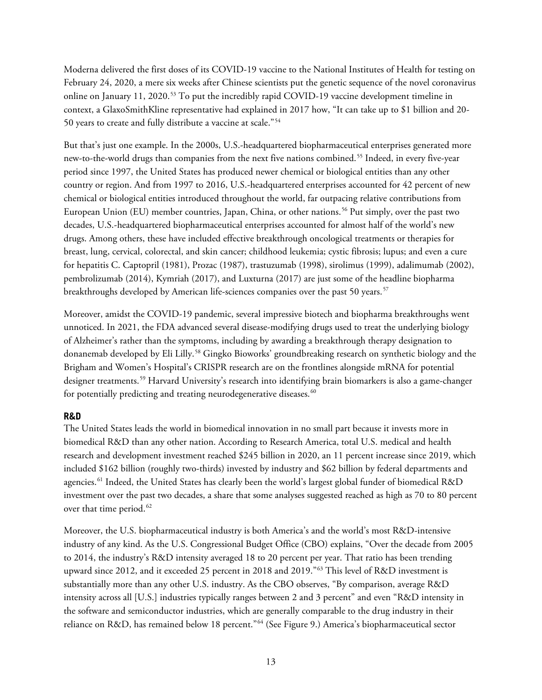Moderna delivered the first doses of its COVID-19 vaccine to the National Institutes of Health for testing on February 24, 2020, a mere six weeks after Chinese scientists put the genetic sequence of the novel coronavirus online on January 11, 2020.<sup>[53](#page-26-15)</sup> To put the incredibly rapid COVID-19 vaccine development timeline in context, a GlaxoSmithKline representative had explained in 2017 how, "It can take up to \$1 billion and 20- 50 years to create and fully distribute a vaccine at scale."[54](#page-26-16)

But that's just one example. In the 2000s, U.S.-headquartered biopharmaceutical enterprises generated more new-to-the-world drugs than companies from the next five nations combined.<sup>[55](#page-26-17)</sup> Indeed, in every five-year period since 1997, the United States has produced newer chemical or biological entities than any other country or region. And from 1997 to 2016, U.S.-headquartered enterprises accounted for 42 percent of new chemical or biological entities introduced throughout the world, far outpacing relative contributions from European Union (EU) member countries, Japan, China, or other nations.<sup>[56](#page-27-0)</sup> Put simply, over the past two decades, U.S.-headquartered biopharmaceutical enterprises accounted for almost half of the world's new drugs. Among others, these have included effective breakthrough oncological treatments or therapies for breast, lung, cervical, colorectal, and skin cancer; childhood leukemia; cystic fibrosis; lupus; and even a cure for hepatitis C. Captopril (1981), Prozac (1987), trastuzumab (1998), sirolimus (1999), adalimumab (2002), pembrolizumab (2014), Kymriah (2017), and Luxturna (2017) are just some of the headline biopharma breakthroughs developed by American life-sciences companies over the past 50 years.<sup>[57](#page-27-1)</sup>

Moreover, amidst the COVID-19 pandemic, several impressive biotech and biopharma breakthroughs went unnoticed. In 2021, the FDA advanced several disease-modifying drugs used to treat the underlying biology of Alzheimer's rather than the symptoms, including by awarding a breakthrough therapy designation to donanemab developed by Eli Lilly.<sup>[58](#page-27-2)</sup> Gingko Bioworks' groundbreaking research on synthetic biology and the Brigham and Women's Hospital's CRISPR research are on the frontlines alongside mRNA for potential designer treatments.[59](#page-27-3) Harvard University's research into identifying brain biomarkers is also a game-changer for potentially predicting and treating neurodegenerative diseases.<sup>[60](#page-27-4)</sup>

#### <span id="page-12-0"></span>**R&D**

The United States leads the world in biomedical innovation in no small part because it invests more in biomedical R&D than any other nation. According to Research America, total U.S. medical and health research and development investment reached \$245 billion in 2020, an 11 percent increase since 2019, which included \$162 billion (roughly two-thirds) invested by industry and \$62 billion by federal departments and agencies.[61](#page-27-5) Indeed, the United States has clearly been the world's largest global funder of biomedical R&D investment over the past two decades, a share that some analyses suggested reached as high as 70 to 80 percent over that time period. $62$ 

Moreover, the U.S. biopharmaceutical industry is both America's and the world's most R&D-intensive industry of any kind. As the U.S. Congressional Budget Office (CBO) explains, "Over the decade from 2005 to 2014, the industry's R&D intensity averaged 18 to 20 percent per year. That ratio has been trending upward since 2012, and it exceeded 25 percent in 2018 and 2019.["63](#page-27-7) This level of R&D investment is substantially more than any other U.S. industry. As the CBO observes, "By comparison, average R&D intensity across all [U.S.] industries typically ranges between 2 and 3 percent" and even "R&D intensity in the software and semiconductor industries, which are generally comparable to the drug industry in their reliance on R&D, has remained below 18 percent."<sup>[64](#page-27-8)</sup> (See [Figure 9.](#page-13-0)) America's biopharmaceutical sector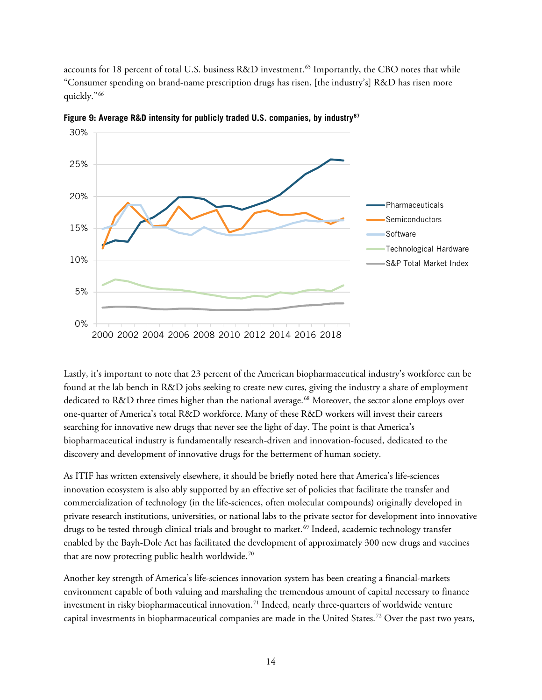accounts for 18 percent of total U.S. business R&D investment.<sup>[65](#page-27-9)</sup> Importantly, the CBO notes that while "Consumer spending on brand-name prescription drugs has risen, [the industry's] R&D has risen more quickly."[66](#page-27-10)



<span id="page-13-0"></span>**Figure 9: Average R&D intensity for publicly traded U.S. companies, by industry[67](#page-27-11)**

Lastly, it's important to note that 23 percent of the American biopharmaceutical industry's workforce can be found at the lab bench in R&D jobs seeking to create new cures, giving the industry a share of employment dedicated to R&D three times higher than the national average.<sup>[68](#page-27-12)</sup> Moreover, the sector alone employs over one-quarter of America's total R&D workforce. Many of these R&D workers will invest their careers searching for innovative new drugs that never see the light of day. The point is that America's biopharmaceutical industry is fundamentally research-driven and innovation-focused, dedicated to the discovery and development of innovative drugs for the betterment of human society.

As ITIF has written extensively elsewhere, it should be briefly noted here that America's life-sciences innovation ecosystem is also ably supported by an effective set of policies that facilitate the transfer and commercialization of technology (in the life-sciences, often molecular compounds) originally developed in private research institutions, universities, or national labs to the private sector for development into innovative drugs to be tested through clinical trials and brought to market. [69](#page-27-13) Indeed, academic technology transfer enabled by the Bayh-Dole Act has facilitated the development of approximately 300 new drugs and vaccines that are now protecting public health worldwide.<sup>[70](#page-27-14)</sup>

Another key strength of America's life-sciences innovation system has been creating a financial-markets environment capable of both valuing and marshaling the tremendous amount of capital necessary to finance investment in risky biopharmaceutical innovation.<sup>[71](#page-27-15)</sup> Indeed, nearly three-quarters of worldwide venture capital investments in biopharmaceutical companies are made in the United States.[72](#page-27-16) Over the past two years,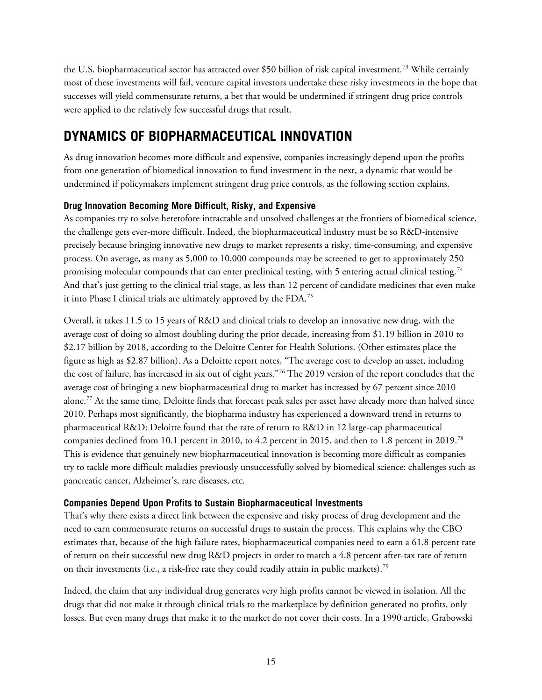the U.S. biopharmaceutical sector has attracted over \$50 billion of risk capital investment.[73](#page-27-17) While certainly most of these investments will fail, venture capital investors undertake these risky investments in the hope that successes will yield commensurate returns, a bet that would be undermined if stringent drug price controls were applied to the relatively few successful drugs that result.

### <span id="page-14-0"></span>**DYNAMICS OF BIOPHARMACEUTICAL INNOVATION**

As drug innovation becomes more difficult and expensive, companies increasingly depend upon the profits from one generation of biomedical innovation to fund investment in the next, a dynamic that would be undermined if policymakers implement stringent drug price controls, as the following section explains.

#### <span id="page-14-1"></span>**Drug Innovation Becoming More Difficult, Risky, and Expensive**

As companies try to solve heretofore intractable and unsolved challenges at the frontiers of biomedical science, the challenge gets ever-more difficult. Indeed, the biopharmaceutical industry must be so R&D-intensive precisely because bringing innovative new drugs to market represents a risky, time-consuming, and expensive process. On average, as many as 5,000 to 10,000 compounds may be screened to get to approximately 250 promising molecular compounds that can enter preclinical testing, with 5 entering actual clinical testing.<sup>[74](#page-27-18)</sup> And that's just getting to the clinical trial stage, as less than 12 percent of candidate medicines that even make it into Phase I clinical trials are ultimately approved by the FDA.[75](#page-27-19)

Overall, it takes 11.5 to 15 years of R&D and clinical trials to develop an innovative new drug, with the average cost of doing so almost doubling during the prior decade, increasing from \$1.19 billion in 2010 to \$2.17 billion by 2018, according to the Deloitte Center for Health Solutions. (Other estimates place the figure as high as \$2.87 billion). As a Deloitte report notes, "The average cost to develop an asset, including the cost of failure, has increased in six out of eight years."[76](#page-28-0) The 2019 version of the report concludes that the average cost of bringing a new biopharmaceutical drug to market has increased by 67 percent since 2010 alone.<sup>[77](#page-28-1)</sup> At the same time, Deloitte finds that forecast peak sales per asset have already more than halved since 2010. Perhaps most significantly, the biopharma industry has experienced a downward trend in returns to pharmaceutical R&D: Deloitte found that the rate of return to R&D in 12 large-cap pharmaceutical companies declined from 10.1 percent in 2010, to 4.2 percent in 2015, and then to 1.8 percent in 2019.[78](#page-28-2) This is evidence that genuinely new biopharmaceutical innovation is becoming more difficult as companies try to tackle more difficult maladies previously unsuccessfully solved by biomedical science: challenges such as pancreatic cancer, Alzheimer's, rare diseases, etc.

#### <span id="page-14-2"></span>**Companies Depend Upon Profits to Sustain Biopharmaceutical Investments**

That's why there exists a direct link between the expensive and risky process of drug development and the need to earn commensurate returns on successful drugs to sustain the process. This explains why the CBO estimates that, because of the high failure rates, biopharmaceutical companies need to earn a 61.8 percent rate of return on their successful new drug R&D projects in order to match a 4.8 percent after-tax rate of return on their investments (i.e., a risk-free rate they could readily attain in public markets).<sup>[79](#page-28-3)</sup>

Indeed, the claim that any individual drug generates very high profits cannot be viewed in isolation. All the drugs that did not make it through clinical trials to the marketplace by definition generated no profits, only losses. But even many drugs that make it to the market do not cover their costs. In a 1990 article, Grabowski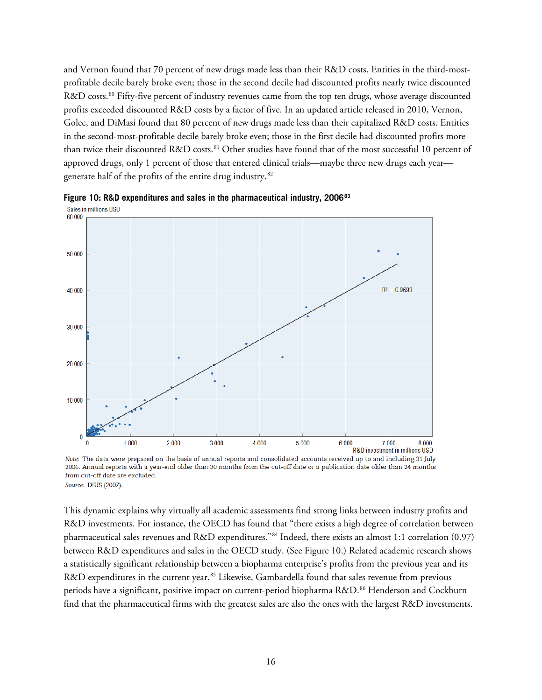and Vernon found that 70 percent of new drugs made less than their R&D costs. Entities in the third-mostprofitable decile barely broke even; those in the second decile had discounted profits nearly twice discounted R&D costs.<sup>[80](#page-28-4)</sup> Fifty-five percent of industry revenues came from the top ten drugs, whose average discounted profits exceeded discounted R&D costs by a factor of five. In an updated article released in 2010, Vernon, Golec, and DiMasi found that 80 percent of new drugs made less than their capitalized R&D costs. Entities in the second-most-profitable decile barely broke even; those in the first decile had discounted profits more than twice their discounted R&D costs.<sup>[81](#page-28-5)</sup> Other studies have found that of the most successful 10 percent of approved drugs, only 1 percent of those that entered clinical trials—maybe three new drugs each year generate half of the profits of the entire drug industry.[82](#page-28-6)



<span id="page-15-0"></span>**Figure 10: R&D expenditures and sales in the pharmaceutical industry, 2006[83](#page-28-7)** Sales in millions USD

Note: The data were prepared on the basis of annual reports and consolidated accounts received up to and including 31 July 2006. Annual reports with a year-end older than 30 months from the cut-off date or a publication date older than 24 months from cut-off date are excluded. Source: DIUS (2007).

This dynamic explains why virtually all academic assessments find strong links between industry profits and R&D investments. For instance, the OECD has found that "there exists a high degree of correlation between pharmaceutical sales revenues and R&D expenditures."[84](#page-28-8) Indeed, there exists an almost 1:1 correlation (0.97) between R&D expenditures and sales in the OECD study. (See [Figure 10.](#page-15-0)) Related academic research shows a statistically significant relationship between a biopharma enterprise's profits from the previous year and its R&D expenditures in the current year.<sup>[85](#page-28-9)</sup> Likewise, Gambardella found that sales revenue from previous periods have a significant, positive impact on current-period biopharma R&D. [86](#page-28-10) Henderson and Cockburn find that the pharmaceutical firms with the greatest sales are also the ones with the largest R&D investments.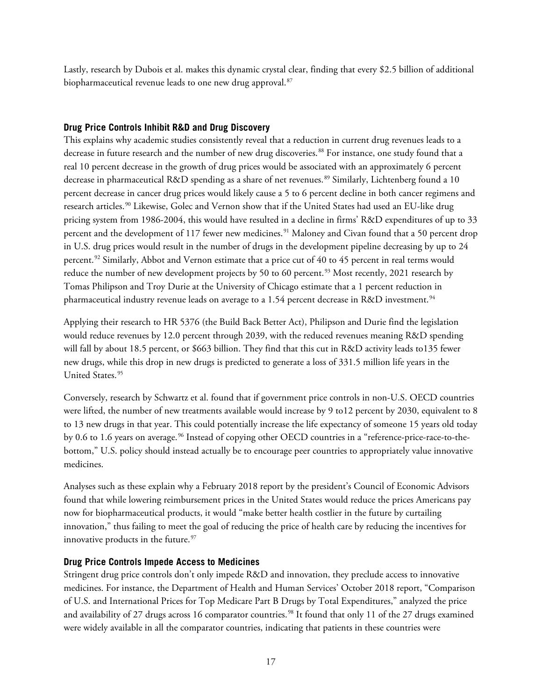Lastly, research by Dubois et al. makes this dynamic crystal clear, finding that every \$2.5 billion of additional biopharmaceutical revenue leads to one new drug approval.<sup>[87](#page-28-11)</sup>

#### <span id="page-16-0"></span>**Drug Price Controls Inhibit R&D and Drug Discovery**

This explains why academic studies consistently reveal that a reduction in current drug revenues leads to a decrease in future research and the number of new drug discoveries.<sup>[88](#page-28-12)</sup> For instance, one study found that a real 10 percent decrease in the growth of drug prices would be associated with an approximately 6 percent decrease in pharmaceutical R&D spending as a share of net revenues.<sup>[89](#page-28-13)</sup> Similarly, Lichtenberg found a 10 percent decrease in cancer drug prices would likely cause a 5 to 6 percent decline in both cancer regimens and research articles.[90](#page-28-14) Likewise, Golec and Vernon show that if the United States had used an EU-like drug pricing system from 1986-2004, this would have resulted in a decline in firms' R&D expenditures of up to 33 percent and the development of 117 fewer new medicines.<sup>[91](#page-28-15)</sup> Maloney and Civan found that a 50 percent drop in U.S. drug prices would result in the number of drugs in the development pipeline decreasing by up to 24 percent.[92](#page-29-0) Similarly, Abbot and Vernon estimate that a price cut of 40 to 45 percent in real terms would reduce the number of new development projects by 50 to 60 percent.<sup>[93](#page-29-1)</sup> Most recently, 2021 research by Tomas Philipson and Troy Durie at the University of Chicago estimate that a 1 percent reduction in pharmaceutical industry revenue leads on average to a 1.54 percent decrease in R&D investment.<sup>[94](#page-29-2)</sup>

Applying their research to HR 5376 (the Build Back Better Act), Philipson and Durie find the legislation would reduce revenues by 12.0 percent through 2039, with the reduced revenues meaning R&D spending will fall by about 18.5 percent, or \$663 billion. They find that this cut in R&D activity leads to135 fewer new drugs, while this drop in new drugs is predicted to generate a loss of 331.5 million life years in the United States.<sup>[95](#page-29-3)</sup>

Conversely, research by Schwartz et al. found that if government price controls in non-U.S. OECD countries were lifted, the number of new treatments available would increase by 9 to12 percent by 2030, equivalent to 8 to 13 new drugs in that year. This could potentially increase the life expectancy of someone 15 years old today by 0.6 to 1.6 years on average.<sup>[96](#page-29-4)</sup> Instead of copying other OECD countries in a "reference-price-race-to-thebottom," U.S. policy should instead actually be to encourage peer countries to appropriately value innovative medicines.

Analyses such as these explain why a February 2018 report by the president's Council of Economic Advisors found that while lowering reimbursement prices in the United States would reduce the prices Americans pay now for biopharmaceutical products, it would "make better health costlier in the future by curtailing innovation," thus failing to meet the goal of reducing the price of health care by reducing the incentives for innovative products in the future.<sup>[97](#page-29-5)</sup>

#### <span id="page-16-1"></span>**Drug Price Controls Impede Access to Medicines**

Stringent drug price controls don't only impede R&D and innovation, they preclude access to innovative medicines. For instance, the Department of Health and Human Services' October 2018 report, "Comparison of U.S. and International Prices for Top Medicare Part B Drugs by Total Expenditures," analyzed the price and availability of 27 drugs across 16 comparator countries.<sup>[98](#page-29-6)</sup> It found that only 11 of the 27 drugs examined were widely available in all the comparator countries, indicating that patients in these countries were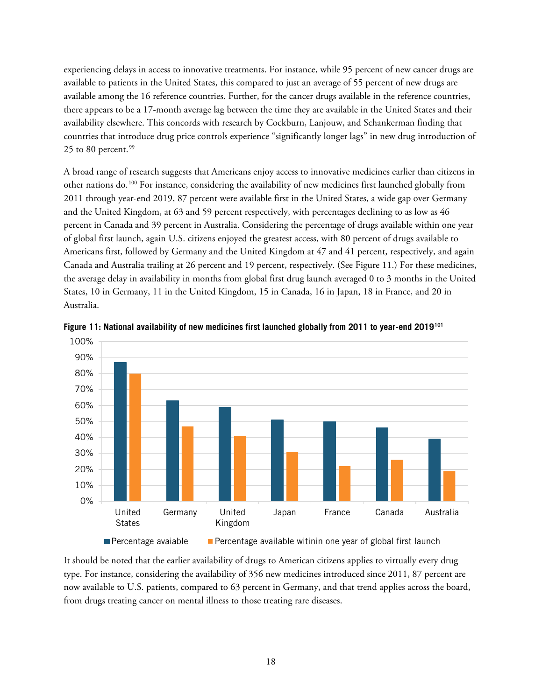experiencing delays in access to innovative treatments. For instance, while 95 percent of new cancer drugs are available to patients in the United States, this compared to just an average of 55 percent of new drugs are available among the 16 reference countries. Further, for the cancer drugs available in the reference countries, there appears to be a 17-month average lag between the time they are available in the United States and their availability elsewhere. This concords with research by Cockburn, Lanjouw, and Schankerman finding that countries that introduce drug price controls experience "significantly longer lags" in new drug introduction of 25 to 80 percent. $99$ 

A broad range of research suggests that Americans enjoy access to innovative medicines earlier than citizens in other nations do.[100](#page-29-8) For instance, considering the availability of new medicines first launched globally from 2011 through year-end 2019, 87 percent were available first in the United States, a wide gap over Germany and the United Kingdom, at 63 and 59 percent respectively, with percentages declining to as low as 46 percent in Canada and 39 percent in Australia. Considering the percentage of drugs available within one year of global first launch, again U.S. citizens enjoyed the greatest access, with 80 percent of drugs available to Americans first, followed by Germany and the United Kingdom at 47 and 41 percent, respectively, and again Canada and Australia trailing at 26 percent and 19 percent, respectively. (See [Figure 11.](#page-17-0)) For these medicines, the average delay in availability in months from global first drug launch averaged 0 to 3 months in the United States, 10 in Germany, 11 in the United Kingdom, 15 in Canada, 16 in Japan, 18 in France, and 20 in Australia.



<span id="page-17-0"></span>**Figure 11: National availability of new medicines first launched globally from 2011 to year-end 2019[101](#page-29-9)**

It should be noted that the earlier availability of drugs to American citizens applies to virtually every drug type. For instance, considering the availability of 356 new medicines introduced since 2011, 87 percent are now available to U.S. patients, compared to 63 percent in Germany, and that trend applies across the board, from drugs treating cancer on mental illness to those treating rare diseases.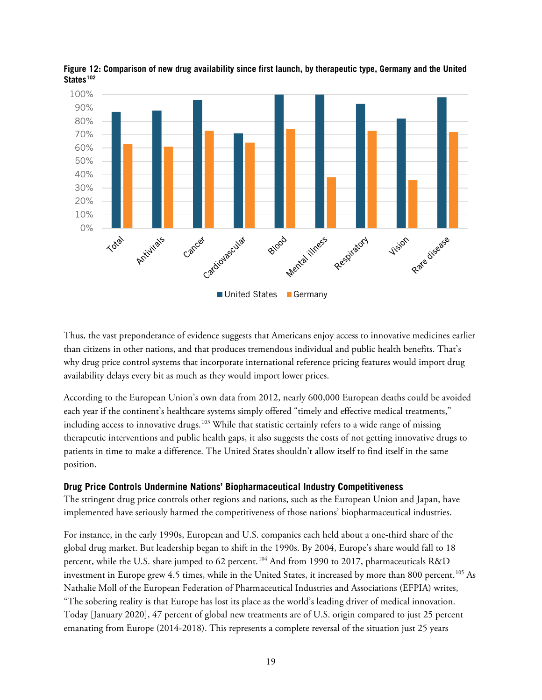

**Figure 12: Comparison of new drug availability since first launch, by therapeutic type, Germany and the United States[102](#page-29-10)**

Thus, the vast preponderance of evidence suggests that Americans enjoy access to innovative medicines earlier than citizens in other nations, and that produces tremendous individual and public health benefits. That's why drug price control systems that incorporate international reference pricing features would import drug availability delays every bit as much as they would import lower prices.

According to the European Union's own data from 2012, nearly 600,000 European deaths could be avoided each year if the continent's healthcare systems simply offered "timely and effective medical treatments," including access to innovative drugs.<sup>[103](#page-29-11)</sup> While that statistic certainly refers to a wide range of missing therapeutic interventions and public health gaps, it also suggests the costs of not getting innovative drugs to patients in time to make a difference. The United States shouldn't allow itself to find itself in the same position.

#### <span id="page-18-0"></span>**Drug Price Controls Undermine Nations' Biopharmaceutical Industry Competitiveness**

The stringent drug price controls other regions and nations, such as the European Union and Japan, have implemented have seriously harmed the competitiveness of those nations' biopharmaceutical industries.

For instance, in the early 1990s, European and U.S. companies each held about a one-third share of the global drug market. But leadership began to shift in the 1990s. By 2004, Europe's share would fall to 18 percent, while the U.S. share jumped to 62 percent.<sup>[104](#page-29-12)</sup> And from 1990 to 2017, pharmaceuticals R&D investment in Europe grew 4.5 times, while in the United States, it increased by more than 800 percent.<sup>[105](#page-30-0)</sup> As Nathalie Moll of the European Federation of Pharmaceutical Industries and Associations (EFPIA) writes, "The sobering reality is that Europe has lost its place as the world's leading driver of medical innovation. Today [January 2020], 47 percent of global new treatments are of U.S. origin compared to just 25 percent emanating from Europe (2014-2018). This represents a complete reversal of the situation just 25 years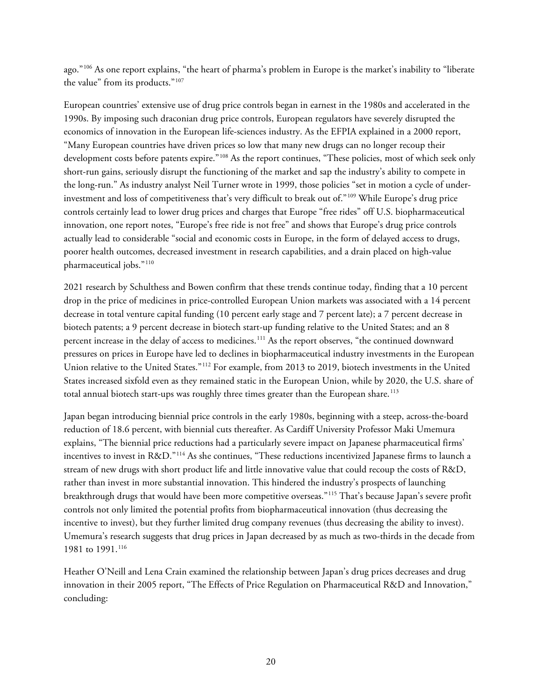ago."[106](#page-30-1) As one report explains, "the heart of pharma's problem in Europe is the market's inability to "liberate the value" from its products."[107](#page-30-2)

European countries' extensive use of drug price controls began in earnest in the 1980s and accelerated in the 1990s. By imposing such draconian drug price controls, European regulators have severely disrupted the economics of innovation in the European life-sciences industry. As the EFPIA explained in a 2000 report, "Many European countries have driven prices so low that many new drugs can no longer recoup their development costs before patents expire."[108](#page-30-3) As the report continues, "These policies, most of which seek only short-run gains, seriously disrupt the functioning of the market and sap the industry's ability to compete in the long-run." As industry analyst Neil Turner wrote in 1999, those policies "set in motion a cycle of underinvestment and loss of competitiveness that's very difficult to break out of."[109](#page-30-4) While Europe's drug price controls certainly lead to lower drug prices and charges that Europe "free rides" off U.S. biopharmaceutical innovation, one report notes, "Europe's free ride is not free" and shows that Europe's drug price controls actually lead to considerable "social and economic costs in Europe, in the form of delayed access to drugs, poorer health outcomes, decreased investment in research capabilities, and a drain placed on high-value pharmaceutical jobs."[110](#page-30-5) 

2021 research by Schulthess and Bowen confirm that these trends continue today, finding that a 10 percent drop in the price of medicines in price-controlled European Union markets was associated with a 14 percent decrease in total venture capital funding (10 percent early stage and 7 percent late); a 7 percent decrease in biotech patents; a 9 percent decrease in biotech start-up funding relative to the United States; and an 8 percent increase in the delay of access to medicines.<sup>[111](#page-30-6)</sup> As the report observes, "the continued downward pressures on prices in Europe have led to declines in biopharmaceutical industry investments in the European Union relative to the United States."[112](#page-30-7) For example, from 2013 to 2019, biotech investments in the United States increased sixfold even as they remained static in the European Union, while by 2020, the U.S. share of total annual biotech start-ups was roughly three times greater than the European share.<sup>113</sup>

Japan began introducing biennial price controls in the early 1980s, beginning with a steep, across-the-board reduction of 18.6 percent, with biennial cuts thereafter. As Cardiff University Professor Maki Umemura explains, "The biennial price reductions had a particularly severe impact on Japanese pharmaceutical firms' incentives to invest in R&D."[114](#page-30-9) As she continues, "These reductions incentivized Japanese firms to launch a stream of new drugs with short product life and little innovative value that could recoup the costs of R&D, rather than invest in more substantial innovation. This hindered the industry's prospects of launching breakthrough drugs that would have been more competitive overseas."[115](#page-30-10) That's because Japan's severe profit controls not only limited the potential profits from biopharmaceutical innovation (thus decreasing the incentive to invest), but they further limited drug company revenues (thus decreasing the ability to invest). Umemura's research suggests that drug prices in Japan decreased by as much as two-thirds in the decade from 1981 to 1991.<sup>[116](#page-30-11)</sup>

Heather O'Neill and Lena Crain examined the relationship between Japan's drug prices decreases and drug innovation in their 2005 report, "The Effects of Price Regulation on Pharmaceutical R&D and Innovation," concluding: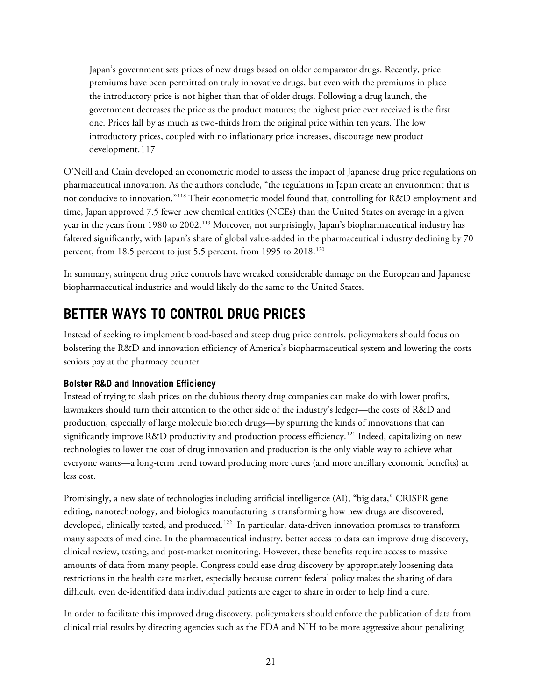Japan's government sets prices of new drugs based on older comparator drugs. Recently, price premiums have been permitted on truly innovative drugs, but even with the premiums in place the introductory price is not higher than that of older drugs. Following a drug launch, the government decreases the price as the product matures; the highest price ever received is the first one. Prices fall by as much as two-thirds from the original price within ten years. The low introductory prices, coupled with no inflationary price increases, discourage new product development.[117](#page-30-12)

O'Neill and Crain developed an econometric model to assess the impact of Japanese drug price regulations on pharmaceutical innovation. As the authors conclude, "the regulations in Japan create an environment that is not conducive to innovation."[118](#page-30-13) Their econometric model found that, controlling for R&D employment and time, Japan approved 7.5 fewer new chemical entities (NCEs) than the United States on average in a given year in the years from 1980 to 2002.<sup>[119](#page-30-14)</sup> Moreover, not surprisingly, Japan's biopharmaceutical industry has faltered significantly, with Japan's share of global value-added in the pharmaceutical industry declining by 70 percent, from 18.5 percent to just 5.5 percent, from 1995 to 2018.<sup>[120](#page-30-15)</sup>

In summary, stringent drug price controls have wreaked considerable damage on the European and Japanese biopharmaceutical industries and would likely do the same to the United States.

### <span id="page-20-0"></span>**BETTER WAYS TO CONTROL DRUG PRICES**

Instead of seeking to implement broad-based and steep drug price controls, policymakers should focus on bolstering the R&D and innovation efficiency of America's biopharmaceutical system and lowering the costs seniors pay at the pharmacy counter.

#### <span id="page-20-1"></span>**Bolster R&D and Innovation Efficiency**

Instead of trying to slash prices on the dubious theory drug companies can make do with lower profits, lawmakers should turn their attention to the other side of the industry's ledger—the costs of R&D and production, especially of large molecule biotech drugs—by spurring the kinds of innovations that can significantly improve R&D productivity and production process efficiency. [121](#page-30-16) Indeed, capitalizing on new technologies to lower the cost of drug innovation and production is the only viable way to achieve what everyone wants—a long-term trend toward producing more cures (and more ancillary economic benefits) at less cost.

Promisingly, a new slate of technologies including artificial intelligence (AI), "big data," CRISPR gene editing, nanotechnology, and biologics manufacturing is transforming how new drugs are discovered, developed, clinically tested, and produced.<sup>[122](#page-30-17)</sup> In particular, data-driven innovation promises to transform many aspects of medicine. In the pharmaceutical industry, better access to data can improve drug discovery, clinical review, testing, and post-market monitoring. However, these benefits require access to massive amounts of data from many people. Congress could ease drug discovery by appropriately loosening data restrictions in the health care market, especially because current federal policy makes the sharing of data difficult, even de-identified data individual patients are eager to share in order to help find a cure.

In order to facilitate this improved drug discovery, policymakers should enforce the publication of data from clinical trial results by directing agencies such as the FDA and NIH to be more aggressive about penalizing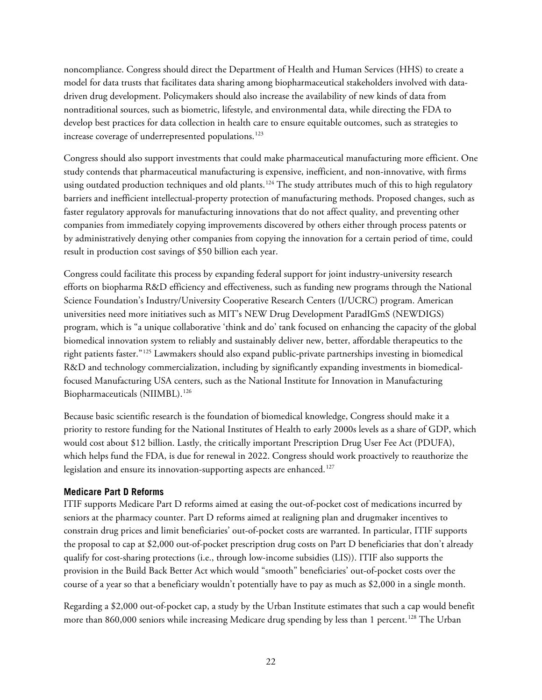noncompliance. Congress should direct the Department of Health and Human Services (HHS) to create a model for data trusts that facilitates data sharing among biopharmaceutical stakeholders involved with datadriven drug development. Policymakers should also increase the availability of new kinds of data from nontraditional sources, such as biometric, lifestyle, and environmental data, while directing the FDA to develop best practices for data collection in health care to ensure equitable outcomes, such as strategies to increase coverage of underrepresented populations.<sup>[123](#page-30-18)</sup>

Congress should also support investments that could make pharmaceutical manufacturing more efficient. One study contends that pharmaceutical manufacturing is expensive, inefficient, and non-innovative, with firms using outdated production techniques and old plants.<sup>[124](#page-30-19)</sup> The study attributes much of this to high regulatory barriers and inefficient intellectual-property protection of manufacturing methods. Proposed changes, such as faster regulatory approvals for manufacturing innovations that do not affect quality, and preventing other companies from immediately copying improvements discovered by others either through process patents or by administratively denying other companies from copying the innovation for a certain period of time, could result in production cost savings of \$50 billion each year.

Congress could facilitate this process by expanding federal support for joint industry-university research efforts on biopharma R&D efficiency and effectiveness, such as funding new programs through the National Science Foundation's Industry/University Cooperative Research Centers (I/UCRC) program. American universities need more initiatives such as MIT's NEW Drug Development ParadIGmS (NEWDIGS) program, which is "a unique collaborative 'think and do' tank focused on enhancing the capacity of the global biomedical innovation system to reliably and sustainably deliver new, better, affordable therapeutics to the right patients faster."[125](#page-30-20) Lawmakers should also expand public-private partnerships investing in biomedical R&D and technology commercialization, including by significantly expanding investments in biomedicalfocused Manufacturing USA centers, such as the National Institute for Innovation in Manufacturing Biopharmaceuticals (NIIMBL). [126](#page-30-21)

Because basic scientific research is the foundation of biomedical knowledge, Congress should make it a priority to restore funding for the National Institutes of Health to early 2000s levels as a share of GDP, which would cost about \$12 billion. Lastly, the critically important Prescription Drug User Fee Act (PDUFA), which helps fund the FDA, is due for renewal in 2022. Congress should work proactively to reauthorize the legislation and ensure its innovation-supporting aspects are enhanced. [127](#page-30-22)

#### <span id="page-21-0"></span>**Medicare Part D Reforms**

ITIF supports Medicare Part D reforms aimed at easing the out-of-pocket cost of medications incurred by seniors at the pharmacy counter. Part D reforms aimed at realigning plan and drugmaker incentives to constrain drug prices and limit beneficiaries' out-of-pocket costs are warranted. In particular, ITIF supports the proposal to cap at \$2,000 out-of-pocket prescription drug costs on Part D beneficiaries that don't already qualify for cost-sharing protections (i.e., through low-income subsidies (LIS)). ITIF also supports the provision in the Build Back Better Act which would "smooth" beneficiaries' out-of-pocket costs over the course of a year so that a beneficiary wouldn't potentially have to pay as much as \$2,000 in a single month.

Regarding a \$2,000 out-of-pocket cap, a study by the Urban Institute estimates that such a cap would benefit more than 860,000 seniors while increasing Medicare drug spending by less than 1 percent.<sup>[128](#page-31-0)</sup> The Urban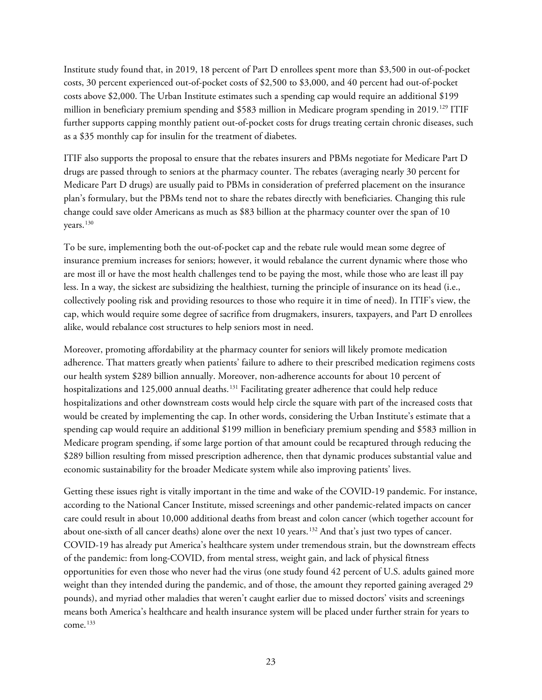Institute study found that, in 2019, 18 percent of Part D enrollees spent more than \$3,500 in out-of-pocket costs, 30 percent experienced out-of-pocket costs of \$2,500 to \$3,000, and 40 percent had out-of-pocket costs above \$2,000. The Urban Institute estimates such a spending cap would require an additional \$199 million in beneficiary premium spending and \$583 million in Medicare program spending in 2019. [129](#page-31-1) ITIF further supports capping monthly patient out-of-pocket costs for drugs treating certain chronic diseases, such as a \$35 monthly cap for insulin for the treatment of diabetes.

ITIF also supports the proposal to ensure that the rebates insurers and PBMs negotiate for Medicare Part D drugs are passed through to seniors at the pharmacy counter. The rebates (averaging nearly 30 percent for Medicare Part D drugs) are usually paid to PBMs in consideration of preferred placement on the insurance plan's formulary, but the PBMs tend not to share the rebates directly with beneficiaries. Changing this rule change could save older Americans as much as \$83 billion at the pharmacy counter over the span of 10 years. [130](#page-31-2)

To be sure, implementing both the out-of-pocket cap and the rebate rule would mean some degree of insurance premium increases for seniors; however, it would rebalance the current dynamic where those who are most ill or have the most health challenges tend to be paying the most, while those who are least ill pay less. In a way, the sickest are subsidizing the healthiest, turning the principle of insurance on its head (i.e., collectively pooling risk and providing resources to those who require it in time of need). In ITIF's view, the cap, which would require some degree of sacrifice from drugmakers, insurers, taxpayers, and Part D enrollees alike, would rebalance cost structures to help seniors most in need.

Moreover, promoting affordability at the pharmacy counter for seniors will likely promote medication adherence. That matters greatly when patients' failure to adhere to their prescribed medication regimens costs our health system \$289 billion annually. Moreover, non-adherence accounts for about 10 percent of hospitalizations and 125,000 annual deaths.<sup>[131](#page-31-3)</sup> Facilitating greater adherence that could help reduce hospitalizations and other downstream costs would help circle the square with part of the increased costs that would be created by implementing the cap. In other words, considering the Urban Institute's estimate that a spending cap would require an additional \$199 million in beneficiary premium spending and \$583 million in Medicare program spending, if some large portion of that amount could be recaptured through reducing the \$289 billion resulting from missed prescription adherence, then that dynamic produces substantial value and economic sustainability for the broader Medicate system while also improving patients' lives.

Getting these issues right is vitally important in the time and wake of the COVID-19 pandemic. For instance, according to the National Cancer Institute, missed screenings and other pandemic-related impacts on cancer care could result in about 10,000 additional deaths from breast and colon cancer (which together account for about one-sixth of all cancer deaths) alone over the next 10 years.<sup>[132](#page-31-4)</sup> And that's just two types of cancer. COVID-19 has already put America's healthcare system under tremendous strain, but the downstream effects of the pandemic: from long-COVID, from mental stress, weight gain, and lack of physical fitness opportunities for even those who never had the virus (one study found 42 percent of U.S. adults gained more weight than they intended during the pandemic, and of those, the amount they reported gaining averaged 29 pounds), and myriad other maladies that weren't caught earlier due to missed doctors' visits and screenings means both America's healthcare and health insurance system will be placed under further strain for years to come. $133$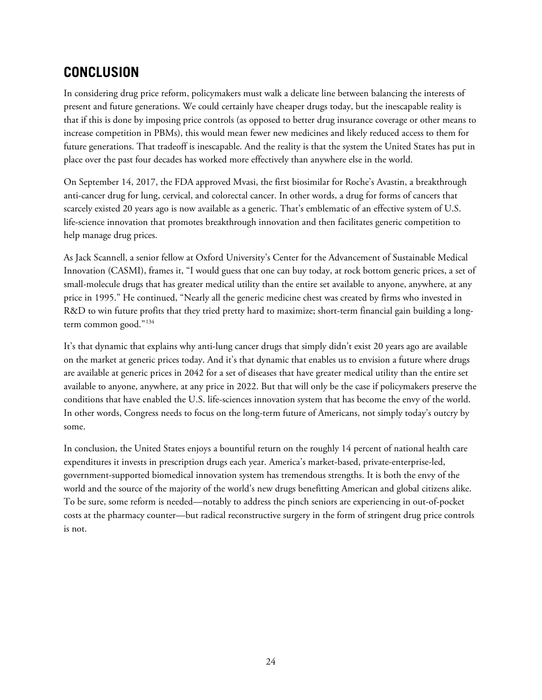### <span id="page-23-0"></span>**CONCLUSION**

In considering drug price reform, policymakers must walk a delicate line between balancing the interests of present and future generations. We could certainly have cheaper drugs today, but the inescapable reality is that if this is done by imposing price controls (as opposed to better drug insurance coverage or other means to increase competition in PBMs), this would mean fewer new medicines and likely reduced access to them for future generations. That tradeoff is inescapable. And the reality is that the system the United States has put in place over the past four decades has worked more effectively than anywhere else in the world.

On September 14, 2017, the FDA approved Mvasi, the first biosimilar for Roche's Avastin, a breakthrough anti-cancer drug for lung, cervical, and colorectal cancer. In other words, a drug for forms of cancers that scarcely existed 20 years ago is now available as a generic. That's emblematic of an effective system of U.S. life-science innovation that promotes breakthrough innovation and then facilitates generic competition to help manage drug prices.

As Jack Scannell, a senior fellow at Oxford University's Center for the Advancement of Sustainable Medical Innovation (CASMI), frames it, "I would guess that one can buy today, at rock bottom generic prices, a set of small-molecule drugs that has greater medical utility than the entire set available to anyone, anywhere, at any price in 1995." He continued, "Nearly all the generic medicine chest was created by firms who invested in R&D to win future profits that they tried pretty hard to maximize; short-term financial gain building a longterm common good."[134](#page-31-6)

It's that dynamic that explains why anti-lung cancer drugs that simply didn't exist 20 years ago are available on the market at generic prices today. And it's that dynamic that enables us to envision a future where drugs are available at generic prices in 2042 for a set of diseases that have greater medical utility than the entire set available to anyone, anywhere, at any price in 2022. But that will only be the case if policymakers preserve the conditions that have enabled the U.S. life-sciences innovation system that has become the envy of the world. In other words, Congress needs to focus on the long-term future of Americans, not simply today's outcry by some.

In conclusion, the United States enjoys a bountiful return on the roughly 14 percent of national health care expenditures it invests in prescription drugs each year. America's market-based, private-enterprise-led, government-supported biomedical innovation system has tremendous strengths. It is both the envy of the world and the source of the majority of the world's new drugs benefitting American and global citizens alike. To be sure, some reform is needed—notably to address the pinch seniors are experiencing in out-of-pocket costs at the pharmacy counter—but radical reconstructive surgery in the form of stringent drug price controls is not.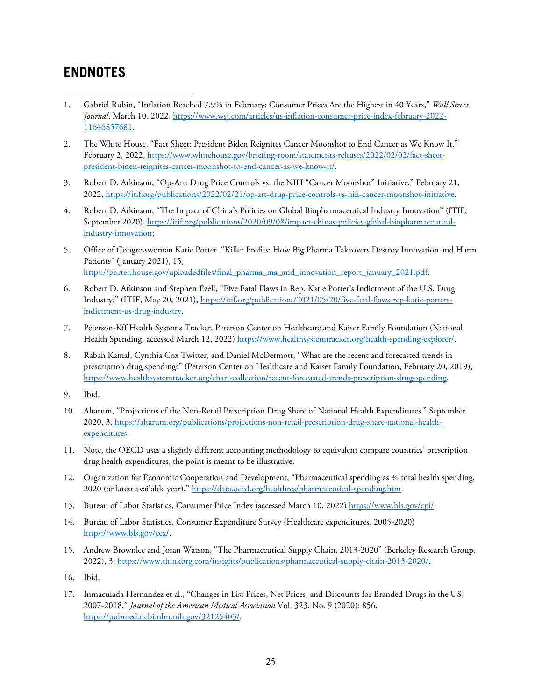#### <span id="page-24-0"></span>**ENDNOTES**

- <span id="page-24-1"></span>1. Gabriel Rubin, "Inflation Reached 7.9% in February; Consumer Prices Are the Highest in 40 Years," *Wall Street Journal*, March 10, 2022, [https://www.wsj.com/articles/us-inflation-consumer-price-index-february-2022-](https://www.wsj.com/articles/us-inflation-consumer-price-index-february-2022-11646857681) [11646857681.](https://www.wsj.com/articles/us-inflation-consumer-price-index-february-2022-11646857681)
- <span id="page-24-2"></span>2. The White House, "Fact Sheet: President Biden Reignites Cancer Moonshot to End Cancer as We Know It," February 2, 2022[, https://www.whitehouse.gov/briefing-room/statements-releases/2022/02/02/fact-sheet](https://www.whitehouse.gov/briefing-room/statements-releases/2022/02/02/fact-sheet-president-biden-reignites-cancer-moonshot-to-end-cancer-as-we-know-it/)[president-biden-reignites-cancer-moonshot-to-end-cancer-as-we-know-it/.](https://www.whitehouse.gov/briefing-room/statements-releases/2022/02/02/fact-sheet-president-biden-reignites-cancer-moonshot-to-end-cancer-as-we-know-it/)
- <span id="page-24-3"></span>3. Robert D. Atkinson, "Op-Art: Drug Price Controls vs. the NIH "Cancer Moonshot" Initiative," February 21, 2022[, https://itif.org/publications/2022/02/21/op-art-drug-price-controls-vs-nih-cancer-moonshot-initiative.](https://itif.org/publications/2022/02/21/op-art-drug-price-controls-vs-nih-cancer-moonshot-initiative)
- <span id="page-24-4"></span>4. Robert D. Atkinson, "The Impact of China's Policies on Global Biopharmaceutical Industry Innovation" (ITIF, September 2020), [https://itif.org/publications/2020/09/08/impact-chinas-policies-global-biopharmaceutical](https://itif.org/publications/2020/09/08/impact-chinas-policies-global-biopharmaceutical-industry-innovation)[industry-innovation;](https://itif.org/publications/2020/09/08/impact-chinas-policies-global-biopharmaceutical-industry-innovation)
- <span id="page-24-5"></span>5. Office of Congresswoman Katie Porter, "Killer Profits: How Big Pharma Takeovers Destroy Innovation and Harm Patients" (January 2021), 15, [https://porter.house.gov/uploadedfiles/final\\_pharma\\_ma\\_and\\_innovation\\_report\\_january\\_2021.pdf.](https://porter.house.gov/uploadedfiles/final_pharma_ma_and_innovation_report_january_2021.pdf)
- <span id="page-24-6"></span>6. Robert D. Atkinson and Stephen Ezell, "Five Fatal Flaws in Rep. Katie Porter's Indictment of the U.S. Drug Industry," (ITIF, May 20, 2021)[, https://itif.org/publications/2021/05/20/five-fatal-flaws-rep-katie-porters](https://itif.org/publications/2021/05/20/five-fatal-flaws-rep-katie-porters-indictment-us-drug-industry)[indictment-us-drug-industry.](https://itif.org/publications/2021/05/20/five-fatal-flaws-rep-katie-porters-indictment-us-drug-industry)
- <span id="page-24-7"></span>7. Peterson-Kff Health Systems Tracker, Peterson Center on Healthcare and Kaiser Family Foundation (National Health Spending, accessed March 12, 2022) [https://www.healthsystemtracker.org/health-spending-explorer/.](https://www.healthsystemtracker.org/health-spending-explorer/)
- <span id="page-24-8"></span>8. Rabah Kamal, Cynthia Cox Twitter, and Daniel McDermott, "What are the recent and forecasted trends in prescription drug spending?" (Peterson Center on Healthcare and Kaiser Family Foundation, February 20, 2019), [https://www.healthsystemtracker.org/chart-collection/recent-forecasted-trends-prescription-drug-spending.](https://www.healthsystemtracker.org/chart-collection/recent-forecasted-trends-prescription-drug-spending)
- <span id="page-24-9"></span>9. Ibid.
- <span id="page-24-10"></span>10. Altarum, "Projections of the Non-Retail Prescription Drug Share of National Health Expenditures," September 2020, 3[, https://altarum.org/publications/projections-non-retail-prescription-drug-share-national-health](https://altarum.org/publications/projections-non-retail-prescription-drug-share-national-health-expenditures)[expenditures.](https://altarum.org/publications/projections-non-retail-prescription-drug-share-national-health-expenditures)
- <span id="page-24-11"></span>11. Note, the OECD uses a slightly different accounting methodology to equivalent compare countries' prescription drug health expenditures, the point is meant to be illustrative.
- <span id="page-24-12"></span>12. Organization for Economic Cooperation and Development, "Pharmaceutical spending as % total health spending, 2020 (or latest available year)," https://data.oecd.org/healthres/pharmaceutical-spending.htm.
- <span id="page-24-13"></span>13. Bureau of Labor Statistics, Consumer Price Index (accessed March 10, 2022) [https://www.bls.gov/cpi/.](https://www.bls.gov/cpi/)
- <span id="page-24-14"></span>14. Bureau of Labor Statistics, Consumer Expenditure Survey (Healthcare expenditures, 2005-2020) [https://www.bls.gov/cex/.](https://www.bls.gov/cex/)
- <span id="page-24-15"></span>15. Andrew Brownlee and Joran Watson, "The Pharmaceutical Supply Chain, 2013-2020" (Berkeley Research Group, 2022), 3[, https://www.thinkbrg.com/insights/publications/pharmaceutical-supply-chain-2013-2020/.](https://www.thinkbrg.com/insights/publications/pharmaceutical-supply-chain-2013-2020/)
- <span id="page-24-16"></span>16. Ibid.
- <span id="page-24-17"></span>17. Inmaculada Hernandez et al., "Changes in List Prices, Net Prices, and Discounts for Branded Drugs in the US, 2007-2018," *Journal of the American Medical Association* Vol. 323, No. 9 (2020): 856, [https://pubmed.ncbi.nlm.nih.gov/32125403/.](https://pubmed.ncbi.nlm.nih.gov/32125403/)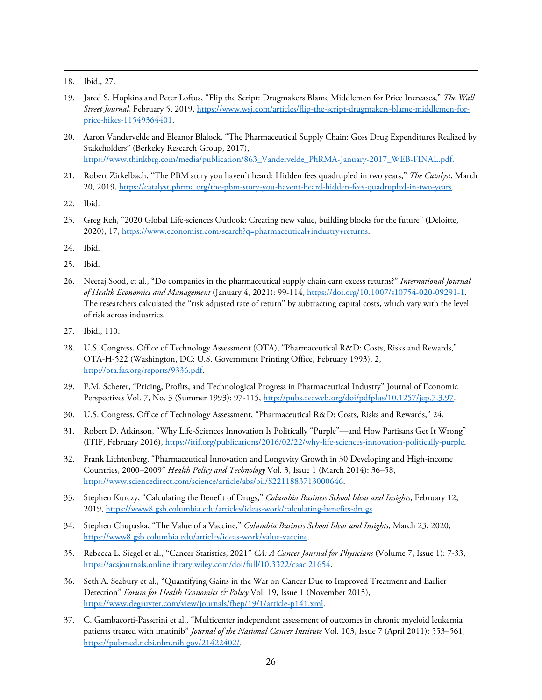<span id="page-25-0"></span>18. Ibid., 27.

- <span id="page-25-1"></span>19. Jared S. Hopkins and Peter Loftus, "Flip the Script: Drugmakers Blame Middlemen for Price Increases," *The Wall Street Journal*, February 5, 2019, [https://www.wsj.com/articles/flip-the-script-drugmakers-blame-middlemen-for](https://www.wsj.com/articles/flip-the-script-drugmakers-blame-middlemen-for-price-hikes-11549364401)[price-hikes-11549364401.](https://www.wsj.com/articles/flip-the-script-drugmakers-blame-middlemen-for-price-hikes-11549364401)
- <span id="page-25-2"></span>20. Aaron Vandervelde and Eleanor Blalock, "The Pharmaceutical Supply Chain: Goss Drug Expenditures Realized by Stakeholders" (Berkeley Research Group, 2017), [https://www.thinkbrg.com/media/publication/863\\_Vandervelde\\_PhRMA-January-2017\\_WEB-FINAL.pdf.](https://www.thinkbrg.com/media/publication/863_Vandervelde_PhRMA-January-2017_WEB-FINAL.pdf)
- <span id="page-25-3"></span>21. Robert Zirkelbach, "The PBM story you haven't heard: Hidden fees quadrupled in two years," *The Catalyst*, March 20, 2019[, https://catalyst.phrma.org/the-pbm-story-you-havent-heard-hidden-fees-quadrupled-in-two-years.](https://catalyst.phrma.org/the-pbm-story-you-havent-heard-hidden-fees-quadrupled-in-two-years)
- <span id="page-25-4"></span>22. Ibid.
- <span id="page-25-5"></span>23. Greg Reh, "2020 Global Life-sciences Outlook: Creating new value, building blocks for the future" (Deloitte, 2020), 17[, https://www.economist.com/search?q=pharmaceutical+industry+returns.](https://www.economist.com/search?q=pharmaceutical+industry+returns)
- <span id="page-25-6"></span>24. Ibid.
- <span id="page-25-7"></span>25. Ibid.
- <span id="page-25-8"></span>26. Neeraj Sood, et al., "Do companies in the pharmaceutical supply chain earn excess returns?" *International Journal of Health Economics and Management* (January 4, 2021): 99-114, [https://doi.org/10.1007/s10754-020-09291-1.](https://doi.org/10.1007/s10754-020-09291-1) The researchers calculated the "risk adjusted rate of return" by subtracting capital costs, which vary with the level of risk across industries.
- <span id="page-25-9"></span>27. Ibid., 110.
- <span id="page-25-10"></span>28. U.S. Congress, Office of Technology Assessment (OTA), "Pharmaceutical R&D: Costs, Risks and Rewards," OTA-H-522 (Washington, DC: U.S. Government Printing Office, February 1993), 2, [http://ota.fas.org/reports/9336.pdf.](http://ota.fas.org/reports/9336.pdf)
- <span id="page-25-11"></span>29. F.M. Scherer, "Pricing, Profits, and Technological Progress in Pharmaceutical Industry" Journal of Economic Perspectives Vol. 7, No. 3 (Summer 1993): 97-115[, http://pubs.aeaweb.org/doi/pdfplus/10.1257/jep.7.3.97.](http://pubs.aeaweb.org/doi/pdfplus/10.1257/jep.7.3.97)
- <span id="page-25-12"></span>30. U.S. Congress, Office of Technology Assessment, "Pharmaceutical R&D: Costs, Risks and Rewards," 24.
- <span id="page-25-13"></span>31. Robert D. Atkinson, "Why Life-Sciences Innovation Is Politically "Purple"—and How Partisans Get It Wrong" (ITIF, February 2016)[, https://itif.org/publications/2016/02/22/why-life-sciences-innovation-politically-purple.](https://itif.org/publications/2016/02/22/why-life-sciences-innovation-politically-purple)
- <span id="page-25-14"></span>32. Frank Lichtenberg, "Pharmaceutical Innovation and Longevity Growth in 30 Developing and High-income Countries, 2000–2009" *Health Policy and Technology* Vol. 3, Issue 1 (March 2014): 36–58, [https://www.sciencedirect.com/science/article/abs/pii/S2211883713000646.](https://www.sciencedirect.com/science/article/abs/pii/S2211883713000646)
- <span id="page-25-15"></span>33. Stephen Kurczy, "Calculating the Benefit of Drugs," *Columbia Business School Ideas and Insights*, February 12, 2019[, https://www8.gsb.columbia.edu/articles/ideas-work/calculating-benefits-drugs.](https://www8.gsb.columbia.edu/articles/ideas-work/calculating-benefits-drugs)
- <span id="page-25-16"></span>34. Stephen Chupaska, "The Value of a Vaccine," *Columbia Business School Ideas and Insights*, March 23, 2020, [https://www8.gsb.columbia.edu/articles/ideas-work/value-vaccine.](https://www8.gsb.columbia.edu/articles/ideas-work/value-vaccine)
- <span id="page-25-17"></span>35. Rebecca L. Siegel et al., "Cancer Statistics, 2021" *CA: A Cancer Journal for Physicians* (Volume 7, Issue 1): 7-33, [https://acsjournals.onlinelibrary.wiley.com/doi/full/10.3322/caac.21654.](https://acsjournals.onlinelibrary.wiley.com/doi/full/10.3322/caac.21654)
- <span id="page-25-18"></span>36. Seth A. Seabury et al., "Quantifying Gains in the War on Cancer Due to Improved Treatment and Earlier Detection" *Forum for Health Economics & Policy* Vol. 19, Issue 1 (November 2015), [https://www.degruyter.com/view/journals/fhep/19/1/article-p141.xml.](https://www.degruyter.com/view/journals/fhep/19/1/article-p141.xml)
- <span id="page-25-19"></span>37. C. Gambacorti-Passerini et al., "Multicenter independent assessment of outcomes in chronic myeloid leukemia patients treated with imatinib" *Journal of the National Cancer Institute* Vol. 103, Issue 7 (April 2011): 553–561, [https://pubmed.ncbi.nlm.nih.gov/21422402/.](https://pubmed.ncbi.nlm.nih.gov/21422402/)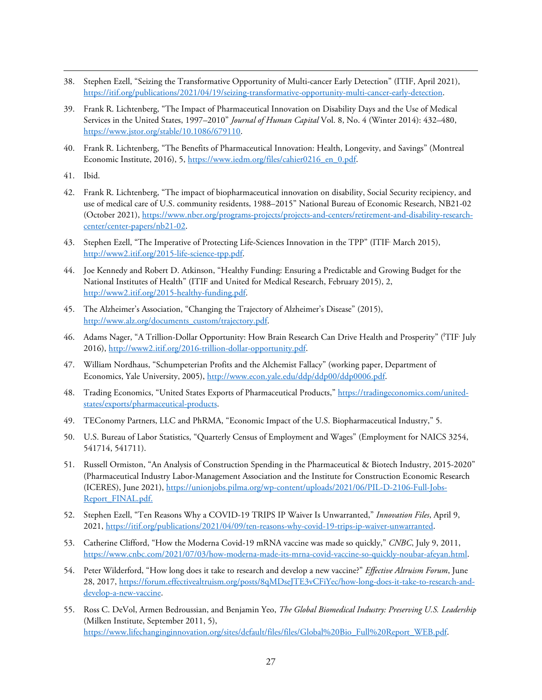- <span id="page-26-0"></span>38. Stephen Ezell, "Seizing the Transformative Opportunity of Multi-cancer Early Detection" (ITIF, April 2021), [https://itif.org/publications/2021/04/19/seizing-transformative-opportunity-multi-cancer-early-detection.](https://itif.org/publications/2021/04/19/seizing-transformative-opportunity-multi-cancer-early-detection)
- <span id="page-26-1"></span>39. Frank R. Lichtenberg, "The Impact of Pharmaceutical Innovation on Disability Days and the Use of Medical Services in the United States, 1997–2010" *Journal of Human Capital* Vol. 8, No. 4 (Winter 2014): 432–480, [https://www.jstor.org/stable/10.1086/679110.](https://www.jstor.org/stable/10.1086/679110)
- <span id="page-26-2"></span>40. Frank R. Lichtenberg, "The Benefits of Pharmaceutical Innovation: Health, Longevity, and Savings" (Montreal Economic Institute, 2016), 5, [https://www.iedm.org/files/cahier0216\\_en\\_0.pdf.](https://www.iedm.org/files/cahier0216_en_0.pdf)
- <span id="page-26-3"></span>41. Ibid.
- <span id="page-26-4"></span>42. Frank R. Lichtenberg, "The impact of biopharmaceutical innovation on disability, Social Security recipiency, and use of medical care of U.S. community residents, 1988–2015" National Bureau of Economic Research, NB21-02 (October 2021)[, https://www.nber.org/programs-projects/projects-and-centers/retirement-and-disability-research](https://www.nber.org/programs-projects/projects-and-centers/retirement-and-disability-research-center/center-papers/nb21-02)[center/center-papers/nb21-02.](https://www.nber.org/programs-projects/projects-and-centers/retirement-and-disability-research-center/center-papers/nb21-02)
- <span id="page-26-5"></span>43. Stephen Ezell, "The Imperative of Protecting Life-Sciences Innovation in the TPP" (ITIF<sup>,</sup> March 2015), [http://www2.itif.org/2015-life-science-tpp.pdf.](http://www2.itif.org/2015-life-science-tpp.pdf)
- <span id="page-26-6"></span>44. Joe Kennedy and Robert D. Atkinson, "Healthy Funding: Ensuring a Predictable and Growing Budget for the National Institutes of Health" (ITIF and United for Medical Research, February 2015), 2, [http://www2.itif.org/2015-healthy-funding.pdf.](http://www2.itif.org/2015-healthy-funding.pdf)
- <span id="page-26-7"></span>45. The Alzheimer's Association, "Changing the Trajectory of Alzheimer's Disease" (2015), [http://www.alz.org/documents\\_custom/trajectory.pdf.](http://www.alz.org/documents_custom/trajectory.pdf)
- <span id="page-26-8"></span>46. Adams Nager, "A Trillion-Dollar Opportunity: How Brain Research Can Drive Health and Prosperity" (<sup>I</sup>TIF<sup>,</sup> July 2016)[, http://www2.itif.org/2016-trillion-dollar-opportunity.pdf.](http://www2.itif.org/2016-trillion-dollar-opportunity.pdf)
- <span id="page-26-9"></span>47. William Nordhaus, "Schumpeterian Profits and the Alchemist Fallacy" (working paper, Department of Economics, Yale University, 2005), [http://www.econ.yale.edu/ddp/ddp00/ddp0006.pdf.](http://www.econ.yale.edu/ddp/ddp00/ddp0006.pdf)
- <span id="page-26-10"></span>48. Trading Economics, "United States Exports of Pharmaceutical Products," [https://tradingeconomics.com/united](https://tradingeconomics.com/united-states/exports/pharmaceutical-products)[states/exports/pharmaceutical-products.](https://tradingeconomics.com/united-states/exports/pharmaceutical-products)
- <span id="page-26-11"></span>49. TEConomy Partners, LLC and PhRMA, "Economic Impact of the U.S. Biopharmaceutical Industry," 5.
- <span id="page-26-12"></span>50. U.S. Bureau of Labor Statistics, "Quarterly Census of Employment and Wages" (Employment for NAICS 3254, 541714, 541711).
- <span id="page-26-13"></span>51. Russell Ormiston, "An Analysis of Construction Spending in the Pharmaceutical & Biotech Industry, 2015-2020" (Pharmaceutical Industry Labor-Management Association and the Institute for Construction Economic Research (ICERES), June 2021), [https://unionjobs.pilma.org/wp-content/uploads/2021/06/PIL-D-2106-Full-Jobs-](https://unionjobs.pilma.org/wp-content/uploads/2021/06/PIL-D-2106-Full-Jobs-Report_FINAL.pdf)[Report\\_FINAL.pdf.](https://unionjobs.pilma.org/wp-content/uploads/2021/06/PIL-D-2106-Full-Jobs-Report_FINAL.pdf)
- <span id="page-26-14"></span>52. Stephen Ezell, "Ten Reasons Why a COVID-19 TRIPS IP Waiver Is Unwarranted," *Innovation Files*, April 9, 2021[, https://itif.org/publications/2021/04/09/ten-reasons-why-covid-19-trips-ip-waiver-unwarranted.](https://itif.org/publications/2021/04/09/ten-reasons-why-covid-19-trips-ip-waiver-unwarranted)
- <span id="page-26-15"></span>53. Catherine Clifford, "How the Moderna Covid-19 mRNA vaccine was made so quickly," *CNBC*, July 9, 2011, [https://www.cnbc.com/2021/07/03/how-moderna-made-its-mrna-covid-vaccine-so-quickly-noubar-afeyan.html.](https://www.cnbc.com/2021/07/03/how-moderna-made-its-mrna-covid-vaccine-so-quickly-noubar-afeyan.html)
- <span id="page-26-16"></span>54. Peter Wilderford, "How long does it take to research and develop a new vaccine?" *Effective Altruism Forum*, June 28, 2017[, https://forum.effectivealtruism.org/posts/8qMDseJTE3vCFiYec/how-long-does-it-take-to-research-and](https://forum.effectivealtruism.org/posts/8qMDseJTE3vCFiYec/how-long-does-it-take-to-research-and-develop-a-new-vaccine)[develop-a-new-vaccine.](https://forum.effectivealtruism.org/posts/8qMDseJTE3vCFiYec/how-long-does-it-take-to-research-and-develop-a-new-vaccine)
- <span id="page-26-17"></span>55. Ross C. DeVol, Armen Bedroussian, and Benjamin Yeo, *The Global Biomedical Industry: Preserving U.S. Leadership* (Milken Institute, September 2011, 5), [https://www.lifechanginginnovation.org/sites/default/files/files/Global%20Bio\\_Full%20Report\\_WEB.pdf.](https://www.lifechanginginnovation.org/sites/default/files/files/Global%20Bio_Full%20Report_WEB.pdf)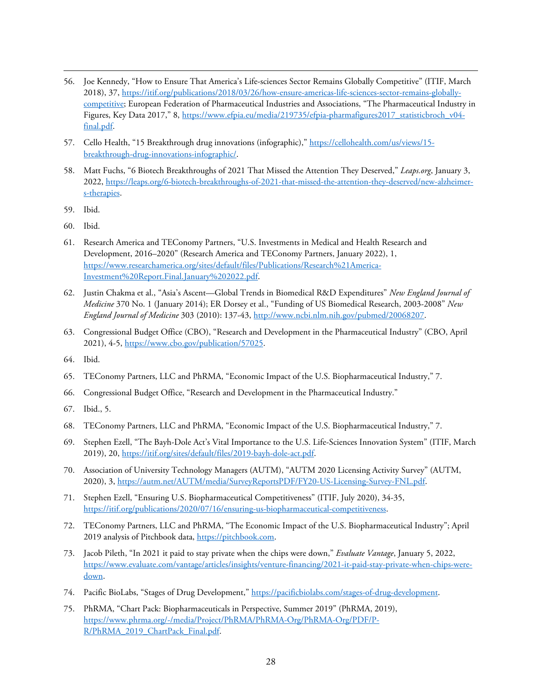- <span id="page-27-0"></span>56. Joe Kennedy, "How to Ensure That America's Life-sciences Sector Remains Globally Competitive" (ITIF, March 2018), 37[, https://itif.org/publications/2018/03/26/how-ensure-americas-life-sciences-sector-remains-globally](https://itif.org/publications/2018/03/26/how-ensure-americas-life-sciences-sector-remains-globally-competitive)[competitive;](https://itif.org/publications/2018/03/26/how-ensure-americas-life-sciences-sector-remains-globally-competitive) European Federation of Pharmaceutical Industries and Associations, "The Pharmaceutical Industry in Figures, Key Data 2017," 8[, https://www.efpia.eu/media/219735/efpia-pharmafigures2017\\_statisticbroch\\_v04](https://www.efpia.eu/media/219735/efpia-pharmafigures2017_statisticbroch_v04-final.pdf) [final.pdf.](https://www.efpia.eu/media/219735/efpia-pharmafigures2017_statisticbroch_v04-final.pdf)
- <span id="page-27-1"></span>57. Cello Health, "15 Breakthrough drug innovations (infographic),[" https://cellohealth.com/us/views/15](https://cellohealth.com/us/views/15-breakthrough-drug-innovations-infographic/) [breakthrough-drug-innovations-infographic/.](https://cellohealth.com/us/views/15-breakthrough-drug-innovations-infographic/)
- <span id="page-27-2"></span>58. Matt Fuchs, "6 Biotech Breakthroughs of 2021 That Missed the Attention They Deserved," *Leaps.org*, January 3, 2022[, https://leaps.org/6-biotech-breakthroughs-of-2021-that-missed-the-attention-they-deserved/new-alzheimer](https://leaps.org/6-biotech-breakthroughs-of-2021-that-missed-the-attention-they-deserved/new-alzheimer-s-therapies)[s-therapies.](https://leaps.org/6-biotech-breakthroughs-of-2021-that-missed-the-attention-they-deserved/new-alzheimer-s-therapies)
- <span id="page-27-3"></span>59. Ibid.
- <span id="page-27-4"></span>60. Ibid.
- <span id="page-27-5"></span>61. Research America and TEConomy Partners, "U.S. Investments in Medical and Health Research and Development, 2016–2020" (Research America and TEConomy Partners, January 2022), 1, [https://www.researchamerica.org/sites/default/files/Publications/Research%21America-](https://www.researchamerica.org/sites/default/files/Publications/Research%21America-Investment%20Report.Final.January%202022.pdf)[Investment%20Report.Final.January%202022.pdf.](https://www.researchamerica.org/sites/default/files/Publications/Research%21America-Investment%20Report.Final.January%202022.pdf)
- <span id="page-27-6"></span>62. Justin Chakma et al., "Asia's Ascent—Global Trends in Biomedical R&D Expenditures" *New England Journal of Medicine* 370 No. 1 (January 2014); ER Dorsey et al., "Funding of US Biomedical Research, 2003-2008" *New England Journal of Medicine* 303 (2010): 137-43, [http://www.ncbi.nlm.nih.gov/pubmed/20068207.](http://www.ncbi.nlm.nih.gov/pubmed/20068207)
- <span id="page-27-7"></span>63. Congressional Budget Office (CBO), "Research and Development in the Pharmaceutical Industry" (CBO, April 2021), 4-5, [https://www.cbo.gov/publication/57025.](https://www.cbo.gov/publication/57025)
- <span id="page-27-8"></span>64. Ibid.
- <span id="page-27-9"></span>65. TEConomy Partners, LLC and PhRMA, "Economic Impact of the U.S. Biopharmaceutical Industry," 7.
- <span id="page-27-10"></span>66. Congressional Budget Office, "Research and Development in the Pharmaceutical Industry."
- <span id="page-27-11"></span>67. Ibid., 5.
- <span id="page-27-12"></span>68. TEConomy Partners, LLC and PhRMA, "Economic Impact of the U.S. Biopharmaceutical Industry," 7.
- <span id="page-27-13"></span>69. Stephen Ezell, "The Bayh-Dole Act's Vital Importance to the U.S. Life-Sciences Innovation System" (ITIF, March 2019), 20[, https://itif.org/sites/default/files/2019-bayh-dole-act.pdf.](https://itif.org/sites/default/files/2019-bayh-dole-act.pdf)
- <span id="page-27-14"></span>70. Association of University Technology Managers (AUTM), "AUTM 2020 Licensing Activity Survey" (AUTM, 2020), 3[, https://autm.net/AUTM/media/SurveyReportsPDF/FY20-US-Licensing-Survey-FNL.pdf.](https://autm.net/AUTM/media/SurveyReportsPDF/FY20-US-Licensing-Survey-FNL.pdf)
- <span id="page-27-15"></span>71. Stephen Ezell, "Ensuring U.S. Biopharmaceutical Competitiveness" (ITIF, July 2020), 34-35, [https://itif.org/publications/2020/07/16/ensuring-us-biopharmaceutical-competitiveness.](https://itif.org/publications/2020/07/16/ensuring-us-biopharmaceutical-competitiveness)
- <span id="page-27-16"></span>72. TEConomy Partners, LLC and PhRMA, "The Economic Impact of the U.S. Biopharmaceutical Industry"; April 2019 analysis of Pitchbook data[, https://pitchbook.com.](https://pitchbook.com/)
- <span id="page-27-17"></span>73. Jacob Pileth, "In 2021 it paid to stay private when the chips were down," *Evaluate Vantage*, January 5, 2022, [https://www.evaluate.com/vantage/articles/insights/venture-financing/2021-it-paid-stay-private-when-chips-were](https://www.evaluate.com/vantage/articles/insights/venture-financing/2021-it-paid-stay-private-when-chips-were-down)[down.](https://www.evaluate.com/vantage/articles/insights/venture-financing/2021-it-paid-stay-private-when-chips-were-down)
- <span id="page-27-18"></span>74. Pacific BioLabs, "Stages of Drug Development," [https://pacificbiolabs.com/stages-of-drug-development.](https://pacificbiolabs.com/stages-of-drug-development)
- <span id="page-27-19"></span>75. PhRMA, "Chart Pack: Biopharmaceuticals in Perspective, Summer 2019" (PhRMA, 2019), [https://www.phrma.org/-/media/Project/PhRMA/PhRMA-Org/PhRMA-Org/PDF/P-](https://www.phrma.org/-/media/Project/PhRMA/PhRMA-Org/PhRMA-Org/PDF/P-R/PhRMA_2019_ChartPack_Final.pdf)[R/PhRMA\\_2019\\_ChartPack\\_Final.pdf.](https://www.phrma.org/-/media/Project/PhRMA/PhRMA-Org/PhRMA-Org/PDF/P-R/PhRMA_2019_ChartPack_Final.pdf)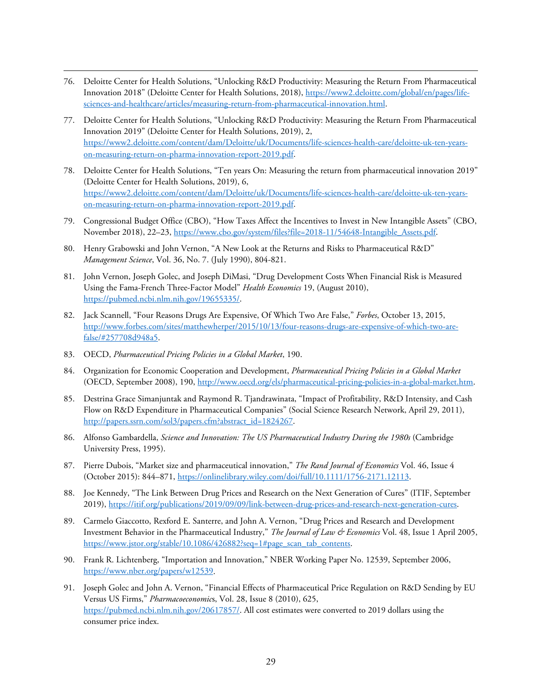- <span id="page-28-0"></span>76. Deloitte Center for Health Solutions, "Unlocking R&D Productivity: Measuring the Return From Pharmaceutical Innovation 2018" (Deloitte Center for Health Solutions, 2018), [https://www2.deloitte.com/global/en/pages/life](https://www2.deloitte.com/global/en/pages/life-sciences-and-healthcare/articles/measuring-return-from-pharmaceutical-innovation.html)[sciences-and-healthcare/articles/measuring-return-from-pharmaceutical-innovation.html.](https://www2.deloitte.com/global/en/pages/life-sciences-and-healthcare/articles/measuring-return-from-pharmaceutical-innovation.html)
- <span id="page-28-1"></span>77. Deloitte Center for Health Solutions, "Unlocking R&D Productivity: Measuring the Return From Pharmaceutical Innovation 2019" (Deloitte Center for Health Solutions, 2019), 2, [https://www2.deloitte.com/content/dam/Deloitte/uk/Documents/life-sciences-health-care/deloitte-uk-ten-years](https://www2.deloitte.com/content/dam/Deloitte/uk/Documents/life-sciences-health-care/deloitte-uk-ten-years-on-measuring-return-on-pharma-innovation-report-2019.pdf)[on-measuring-return-on-pharma-innovation-report-2019.pdf.](https://www2.deloitte.com/content/dam/Deloitte/uk/Documents/life-sciences-health-care/deloitte-uk-ten-years-on-measuring-return-on-pharma-innovation-report-2019.pdf)
- <span id="page-28-2"></span>78. Deloitte Center for Health Solutions, "Ten years On: Measuring the return from pharmaceutical innovation 2019" (Deloitte Center for Health Solutions, 2019), 6, [https://www2.deloitte.com/content/dam/Deloitte/uk/Documents/life-sciences-health-care/deloitte-uk-ten-years](https://www2.deloitte.com/content/dam/Deloitte/uk/Documents/life-sciences-health-care/deloitte-uk-ten-years-on-measuring-return-on-pharma-innovation-report-2019.pdf)[on-measuring-return-on-pharma-innovation-report-2019.pdf.](https://www2.deloitte.com/content/dam/Deloitte/uk/Documents/life-sciences-health-care/deloitte-uk-ten-years-on-measuring-return-on-pharma-innovation-report-2019.pdf)
- <span id="page-28-3"></span>79. Congressional Budget Office (CBO), "How Taxes Affect the Incentives to Invest in New Intangible Assets" (CBO, November 2018), 22-23, https://www.cbo.gov/system/files?file=2018-11/54648-Intangible\_Assets.pdf.
- <span id="page-28-4"></span>80. Henry Grabowski and John Vernon, "A New Look at the Returns and Risks to Pharmaceutical R&D" *Management Science*, Vol. 36, No. 7. (July 1990), 804-821.
- <span id="page-28-5"></span>81. John Vernon, Joseph Golec, and Joseph DiMasi, "Drug Development Costs When Financial Risk is Measured Using the Fama-French Three-Factor Model" *Health Economics* 19, (August 2010), [https://pubmed.ncbi.nlm.nih.gov/19655335/.](https://pubmed.ncbi.nlm.nih.gov/19655335/)
- <span id="page-28-6"></span>82. Jack Scannell, "Four Reasons Drugs Are Expensive, Of Which Two Are False," *Forbes*, October 13, 2015, [http://www.forbes.com/sites/matthewherper/2015/10/13/four-reasons-drugs-are-expensive-of-which-two-are](http://www.forbes.com/sites/matthewherper/2015/10/13/four-reasons-drugs-are-expensive-of-which-two-are-false/#257708d948a5)[false/#257708d948a5.](http://www.forbes.com/sites/matthewherper/2015/10/13/four-reasons-drugs-are-expensive-of-which-two-are-false/#257708d948a5)
- <span id="page-28-7"></span>83. OECD, *Pharmaceutical Pricing Policies in a Global Market*, 190.
- <span id="page-28-8"></span>84. Organization for Economic Cooperation and Development, *Pharmaceutical Pricing Policies in a Global Market* (OECD, September 2008), 190, [http://www.oecd.org/els/pharmaceutical-pricing-policies-in-a-global-market.htm.](http://www.oecd.org/els/pharmaceutical-pricing-policies-in-a-global-market.htm)
- <span id="page-28-9"></span>85. Destrina Grace Simanjuntak and Raymond R. Tjandrawinata, "Impact of Profitability, R&D Intensity, and Cash Flow on R&D Expenditure in Pharmaceutical Companies" (Social Science Research Network, April 29, 2011), [http://papers.ssrn.com/sol3/papers.cfm?abstract\\_id=1824267.](http://papers.ssrn.com/sol3/papers.cfm?abstract_id=1824267)
- <span id="page-28-10"></span>86. Alfonso Gambardella, *Science and Innovation: The US Pharmaceutical Industry During the 1980s* (Cambridge University Press, 1995).
- <span id="page-28-11"></span>87. Pierre Dubois, "Market size and pharmaceutical innovation," *The Rand Journal of Economics* Vol. 46, Issue 4 (October 2015): 844–871[, https://onlinelibrary.wiley.com/doi/full/10.1111/1756-2171.12113.](https://onlinelibrary.wiley.com/doi/full/10.1111/1756-2171.12113)
- <span id="page-28-12"></span>88. Joe Kennedy, "The Link Between Drug Prices and Research on the Next Generation of Cures" (ITIF, September 2019)[, https://itif.org/publications/2019/09/09/link-between-drug-prices-and-research-next-generation-cures.](https://itif.org/publications/2019/09/09/link-between-drug-prices-and-research-next-generation-cures)
- <span id="page-28-13"></span>89. Carmelo Giaccotto, Rexford E. Santerre, and John A. Vernon, "Drug Prices and Research and Development Investment Behavior in the Pharmaceutical Industry," *The Journal of Law & Economics* Vol. 48, Issue 1 April 2005, [https://www.jstor.org/stable/10.1086/426882?seq=1#page\\_scan\\_tab\\_contents.](https://www.jstor.org/stable/10.1086/426882?seq=1#page_scan_tab_contents)
- <span id="page-28-14"></span>90. Frank R. Lichtenberg, "Importation and Innovation," NBER Working Paper No. 12539, September 2006, [https://www.nber.org/papers/w12539.](https://www.nber.org/papers/w12539)
- <span id="page-28-15"></span>91. Joseph Golec and John A. Vernon, "Financial Effects of Pharmaceutical Price Regulation on R&D Sending by EU Versus US Firms," *Pharmacoeconomic*s, Vol. 28, Issue 8 (2010), 625, [https://pubmed.ncbi.nlm.nih.gov/20617857/.](https://pubmed.ncbi.nlm.nih.gov/20617857/) All cost estimates were converted to 2019 dollars using the consumer price index.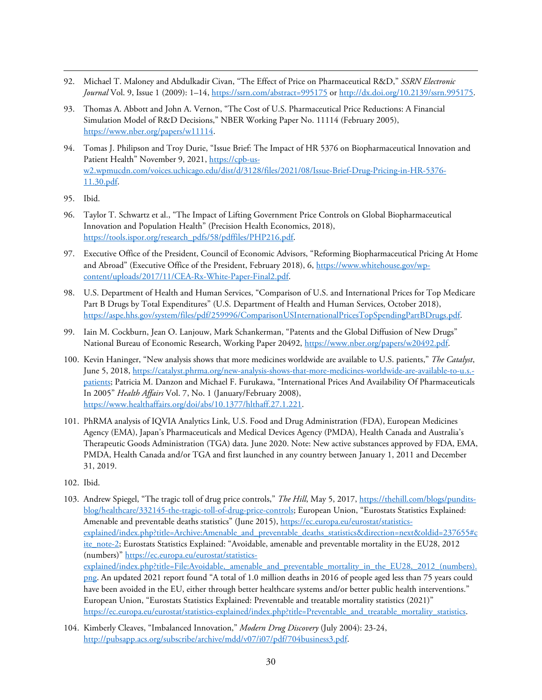- <span id="page-29-0"></span>92. Michael T. Maloney and Abdulkadir Civan, "The Effect of Price on Pharmaceutical R&D," *SSRN Electronic Journal* Vol. 9, Issue 1 (2009): 1–14,<https://ssrn.com/abstract=995175> or [http://dx.doi.org/10.2139/ssrn.995175.](http://dx.doi.org/10.2139/ssrn.995175)
- <span id="page-29-1"></span>93. Thomas A. Abbott and John A. Vernon, "The Cost of U.S. Pharmaceutical Price Reductions: A Financial Simulation Model of R&D Decisions," NBER Working Paper No. 11114 (February 2005), [https://www.nber.org/papers/w11114.](https://www.nber.org/papers/w11114)
- <span id="page-29-2"></span>94. Tomas J. Philipson and Troy Durie, "Issue Brief: The Impact of HR 5376 on Biopharmaceutical Innovation and Patient Health" November 9, 2021, [https://cpb-us](https://cpb-us-w2.wpmucdn.com/voices.uchicago.edu/dist/d/3128/files/2021/08/Issue-Brief-Drug-Pricing-in-HR-5376-11.30.pdf)[w2.wpmucdn.com/voices.uchicago.edu/dist/d/3128/files/2021/08/Issue-Brief-Drug-Pricing-in-HR-5376-](https://cpb-us-w2.wpmucdn.com/voices.uchicago.edu/dist/d/3128/files/2021/08/Issue-Brief-Drug-Pricing-in-HR-5376-11.30.pdf) [11.30.pdf.](https://cpb-us-w2.wpmucdn.com/voices.uchicago.edu/dist/d/3128/files/2021/08/Issue-Brief-Drug-Pricing-in-HR-5376-11.30.pdf)
- <span id="page-29-3"></span>95. Ibid.
- <span id="page-29-4"></span>96. Taylor T. Schwartz et al., "The Impact of Lifting Government Price Controls on Global Biopharmaceutical Innovation and Population Health" (Precision Health Economics, 2018), https://tools.ispor.org/research\_pdfs/58/pdffiles/PHP216.pdf.
- <span id="page-29-5"></span>97. Executive Office of the President, Council of Economic Advisors, "Reforming Biopharmaceutical Pricing At Home and Abroad" (Executive Office of the President, February 2018), 6, [https://www.whitehouse.gov/wp](https://www.whitehouse.gov/wp-content/uploads/2017/11/CEA-Rx-White-Paper-Final2.pdf)[content/uploads/2017/11/CEA-Rx-White-Paper-Final2.pdf.](https://www.whitehouse.gov/wp-content/uploads/2017/11/CEA-Rx-White-Paper-Final2.pdf)
- <span id="page-29-6"></span>98. U.S. Department of Health and Human Services, "Comparison of U.S. and International Prices for Top Medicare Part B Drugs by Total Expenditures" (U.S. Department of Health and Human Services, October 2018), [https://aspe.hhs.gov/system/files/pdf/259996/ComparisonUSInternationalPricesTopSpendingPartBDrugs.pdf.](https://aspe.hhs.gov/system/files/pdf/259996/ComparisonUSInternationalPricesTopSpendingPartBDrugs.pdf)
- <span id="page-29-7"></span>99. Iain M. Cockburn, Jean O. Lanjouw, Mark Schankerman, "Patents and the Global Diffusion of New Drugs" National Bureau of Economic Research, Working Paper 20492, [https://www.nber.org/papers/w20492.pdf.](https://www.nber.org/papers/w20492.pdf)
- <span id="page-29-8"></span>100. Kevin Haninger, "New analysis shows that more medicines worldwide are available to U.S. patients," *The Catalyst*, June 5, 2018, [https://catalyst.phrma.org/new-analysis-shows-that-more-medicines-worldwide-are-available-to-u.s.](https://catalyst.phrma.org/new-analysis-shows-that-more-medicines-worldwide-are-available-to-u.s.-patients) [patients;](https://catalyst.phrma.org/new-analysis-shows-that-more-medicines-worldwide-are-available-to-u.s.-patients) Patricia M. Danzon and Michael F. Furukawa, "International Prices And Availability Of Pharmaceuticals In 2005" *Health Affairs* Vol. 7, No. 1 (January/February 2008), [https://www.healthaffairs.org/doi/abs/10.1377/hlthaff.27.1.221.](https://www.healthaffairs.org/doi/abs/10.1377/hlthaff.27.1.221)
- <span id="page-29-9"></span>101. PhRMA analysis of IQVIA Analytics Link, U.S. Food and Drug Administration (FDA), European Medicines Agency (EMA), Japan's Pharmaceuticals and Medical Devices Agency (PMDA), Health Canada and Australia's Therapeutic Goods Administration (TGA) data. June 2020. Note: New active substances approved by FDA, EMA, PMDA, Health Canada and/or TGA and first launched in any country between January 1, 2011 and December 31, 2019.
- <span id="page-29-10"></span>102. Ibid.
- <span id="page-29-11"></span>103. Andrew Spiegel, "The tragic toll of drug price controls," *The Hill*, May 5, 2017, [https://thehill.com/blogs/pundits](https://thehill.com/blogs/pundits-blog/healthcare/332145-the-tragic-toll-of-drug-price-controls)[blog/healthcare/332145-the-tragic-toll-of-drug-price-controls;](https://thehill.com/blogs/pundits-blog/healthcare/332145-the-tragic-toll-of-drug-price-controls) European Union, "Eurostats Statistics Explained: Amenable and preventable deaths statistics" (June 2015), [https://ec.europa.eu/eurostat/statistics](https://ec.europa.eu/eurostat/statistics-explained/index.php?title=Archive:Amenable_and_preventable_deaths_statistics&direction=next&oldid=237655#cite_note-2)[explained/index.php?title=Archive:Amenable\\_and\\_preventable\\_deaths\\_statistics&direction=next&oldid=237655#c](https://ec.europa.eu/eurostat/statistics-explained/index.php?title=Archive:Amenable_and_preventable_deaths_statistics&direction=next&oldid=237655#cite_note-2) [ite\\_note-2;](https://ec.europa.eu/eurostat/statistics-explained/index.php?title=Archive:Amenable_and_preventable_deaths_statistics&direction=next&oldid=237655#cite_note-2) Eurostats Statistics Explained: "Avoidable, amenable and preventable mortality in the EU28, 2012 (numbers)" [https://ec.europa.eu/eurostat/statistics](https://ec.europa.eu/eurostat/statistics-explained/index.php?title=File:Avoidable,_amenable_and_preventable_mortality_in_the_EU28,_2012_(numbers).png)explained/index.php?title=File:Avoidable, amenable and preventable mortality in the EU28, 2012 (numbers). [png.](https://ec.europa.eu/eurostat/statistics-explained/index.php?title=File:Avoidable,_amenable_and_preventable_mortality_in_the_EU28,_2012_(numbers).png) An updated 2021 report found "A total of 1.0 million deaths in 2016 of people aged less than 75 years could have been avoided in the EU, either through better healthcare systems and/or better public health interventions." European Union, "Eurostats Statistics Explained: Preventable and treatable mortality statistics (2021)" [https://ec.europa.eu/eurostat/statistics-explained/index.php?title=Preventable\\_and\\_treatable\\_mortality\\_statistics.](https://ec.europa.eu/eurostat/statistics-explained/index.php?title=Preventable_and_treatable_mortality_statistics)
- <span id="page-29-12"></span>104. Kimberly Cleaves, "Imbalanced Innovation," *Modern Drug Discovery* (July 2004): 23-24, [http://pubsapp.acs.org/subscribe/archive/mdd/v07/i07/pdf/704business3.pdf.](http://pubsapp.acs.org/subscribe/archive/mdd/v07/i07/pdf/704business3.pdf)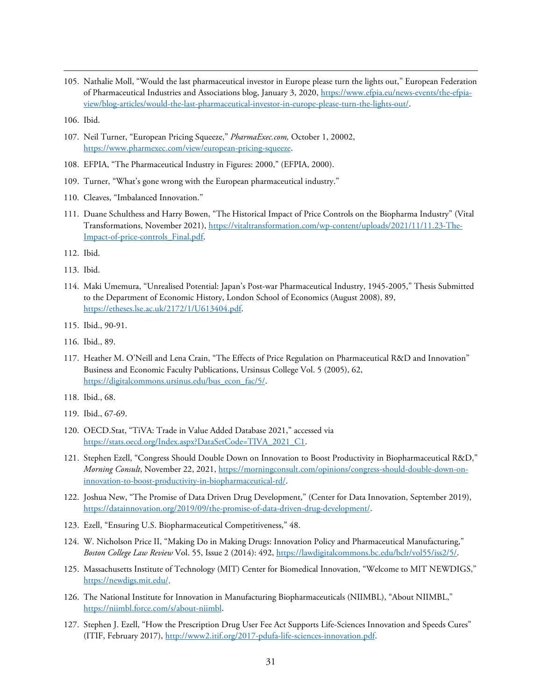- <span id="page-30-0"></span>105. Nathalie Moll, "Would the last pharmaceutical investor in Europe please turn the lights out," European Federation of Pharmaceutical Industries and Associations blog, January 3, 2020[, https://www.efpia.eu/news-events/the-efpia](https://www.efpia.eu/news-events/the-efpia-view/blog-articles/would-the-last-pharmaceutical-investor-in-europe-please-turn-the-lights-out/)[view/blog-articles/would-the-last-pharmaceutical-investor-in-europe-please-turn-the-lights-out/.](https://www.efpia.eu/news-events/the-efpia-view/blog-articles/would-the-last-pharmaceutical-investor-in-europe-please-turn-the-lights-out/)
- <span id="page-30-1"></span>106. Ibid.
- <span id="page-30-2"></span>107. Neil Turner, "European Pricing Squeeze," *PharmaExec.com,* October 1, 20002, [https://www.pharmexec.com/view/european-pricing-squeeze.](https://www.pharmexec.com/view/european-pricing-squeeze)
- <span id="page-30-3"></span>108. EFPIA, "The Pharmaceutical Industry in Figures: 2000," (EFPIA, 2000).
- <span id="page-30-4"></span>109. Turner, "What's gone wrong with the European pharmaceutical industry."
- <span id="page-30-5"></span>110. Cleaves, "Imbalanced Innovation."
- <span id="page-30-6"></span>111. Duane Schulthess and Harry Bowen, "The Historical Impact of Price Controls on the Biopharma Industry" (Vital Transformations, November 2021)[, https://vitaltransformation.com/wp-content/uploads/2021/11/11.23-The-](https://vitaltransformation.com/wp-content/uploads/2021/11/11.23-The-Impact-of-price-controls_Final.pdf)[Impact-of-price-controls\\_Final.pdf.](https://vitaltransformation.com/wp-content/uploads/2021/11/11.23-The-Impact-of-price-controls_Final.pdf)
- <span id="page-30-7"></span>112. Ibid.
- <span id="page-30-8"></span>113. Ibid.
- <span id="page-30-9"></span>114. Maki Umemura, "Unrealised Potential: Japan's Post-war Pharmaceutical Industry, 1945-2005," Thesis Submitted to the Department of Economic History, London School of Economics (August 2008), 89, [https://etheses.lse.ac.uk/2172/1/U613404.pdf.](https://etheses.lse.ac.uk/2172/1/U613404.pdf)
- <span id="page-30-10"></span>115. Ibid., 90-91.
- <span id="page-30-11"></span>116. Ibid., 89.
- <span id="page-30-12"></span>117. Heather M. O'Neill and Lena Crain, "The Effects of Price Regulation on Pharmaceutical R&D and Innovation" Business and Economic Faculty Publications, Ursinsus College Vol. 5 (2005), 62, https://digitalcommons.ursinus.edu/bus\_econ\_fac/5/.
- <span id="page-30-13"></span>118. Ibid., 68.
- <span id="page-30-14"></span>119. Ibid., 67-69.
- <span id="page-30-15"></span>120. OECD.Stat, "TiVA: Trade in Value Added Database 2021," accessed via [https://stats.oecd.org/Index.aspx?DataSetCode=TIVA\\_2021\\_C1.](https://stats.oecd.org/Index.aspx?DataSetCode=TIVA_2021_C1)
- <span id="page-30-16"></span>121. Stephen Ezell, "Congress Should Double Down on Innovation to Boost Productivity in Biopharmaceutical R&D," *Morning Consult*, November 22, 2021, [https://morningconsult.com/opinions/congress-should-double-down-on](https://morningconsult.com/opinions/congress-should-double-down-on-innovation-to-boost-productivity-in-biopharmaceutical-rd/)[innovation-to-boost-productivity-in-biopharmaceutical-rd/.](https://morningconsult.com/opinions/congress-should-double-down-on-innovation-to-boost-productivity-in-biopharmaceutical-rd/)
- <span id="page-30-17"></span>122. Joshua New, "The Promise of Data Driven Drug Development," (Center for Data Innovation, September 2019), [https://datainnovation.org/2019/09/the-promise-of-data-driven-drug-development/.](https://datainnovation.org/2019/09/the-promise-of-data-driven-drug-development/)
- <span id="page-30-18"></span>123. Ezell, "Ensuring U.S. Biopharmaceutical Competitiveness," 48.
- <span id="page-30-19"></span>124. W. Nicholson Price II, "Making Do in Making Drugs: Innovation Policy and Pharmaceutical Manufacturing," *Boston College Law Review* Vol. 55, Issue 2 (2014): 492, [https://lawdigitalcommons.bc.edu/bclr/vol55/iss2/5/.](https://lawdigitalcommons.bc.edu/bclr/vol55/iss2/5/)
- <span id="page-30-20"></span>125. Massachusetts Institute of Technology (MIT) Center for Biomedical Innovation, "Welcome to MIT NEWDIGS," [https://newdigs.mit.edu/.](https://newdigs.mit.edu/)
- <span id="page-30-21"></span>126. The National Institute for Innovation in Manufacturing Biopharmaceuticals (NIIMBL), "About NIIMBL," [https://niimbl.force.com/s/about-niimbl.](https://niimbl.force.com/s/about-niimbl)
- <span id="page-30-22"></span>127. Stephen J. Ezell, "How the Prescription Drug User Fee Act Supports Life-Sciences Innovation and Speeds Cures" (ITIF, February 2017)[, http://www2.itif.org/2017-pdufa-life-sciences-innovation.pdf.](http://www2.itif.org/2017-pdufa-life-sciences-innovation.pdf)